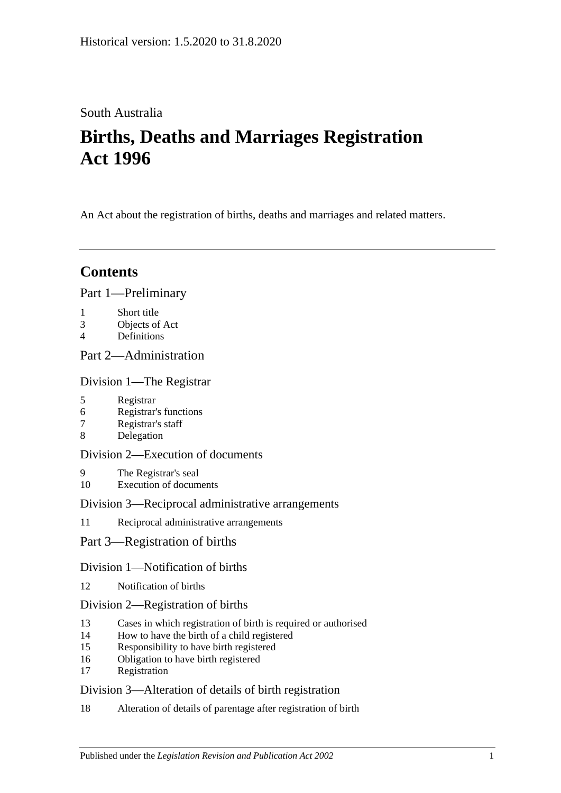# South Australia

# **Births, Deaths and Marriages Registration Act 1996**

An Act about the registration of births, deaths and marriages and related matters.

# **Contents**

## [Part 1—Preliminary](#page-3-0)

- 1 [Short title](#page-3-1)
- 3 [Objects of Act](#page-3-2)
- 4 [Definitions](#page-3-3)

## [Part 2—Administration](#page-5-0)

## [Division 1—The Registrar](#page-5-1)

- 5 [Registrar](#page-5-2)
- 6 [Registrar's functions](#page-5-3)
- 7 [Registrar's staff](#page-5-4)
- 8 [Delegation](#page-6-0)

## [Division 2—Execution of documents](#page-6-1)

- 9 [The Registrar's seal](#page-6-2)
- 10 [Execution of documents](#page-6-3)

## [Division 3—Reciprocal administrative arrangements](#page-6-4)

11 [Reciprocal administrative arrangements](#page-6-5)

## [Part 3—Registration of births](#page-7-0)

## [Division 1—Notification of births](#page-7-1)

12 [Notification of births](#page-7-2)

## [Division 2—Registration of births](#page-8-0)

- 13 [Cases in which registration of birth is required or authorised](#page-8-1)
- 14 [How to have the birth of a child registered](#page-8-2)
- 15 [Responsibility to have birth registered](#page-9-0)
- 16 [Obligation to have birth registered](#page-9-1)
- 17 [Registration](#page-9-2)

## [Division 3—Alteration of details of birth registration](#page-9-3)

18 [Alteration of details of parentage after registration of birth](#page-9-4)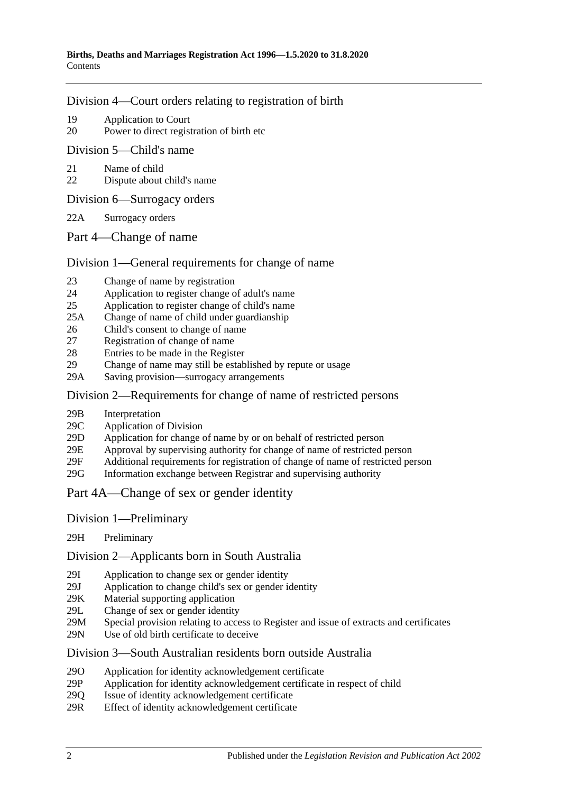#### [Division 4—Court orders relating to registration of birth](#page-10-0)

- 19 [Application to Court](#page-10-1)
- 20 [Power to direct registration of birth etc](#page-10-2)

[Division 5—Child's name](#page-10-3)

- 21 [Name of child](#page-10-4)
- 22 [Dispute about child's name](#page-11-0)

[Division 6—Surrogacy orders](#page-11-1)

- 22A [Surrogacy orders](#page-11-2)
- [Part 4—Change of name](#page-12-0)

#### [Division 1—General requirements for change of name](#page-12-1)

- 23 [Change of name by registration](#page-12-2)
- 24 [Application to register change of adult's name](#page-12-3)
- 25 [Application to register change of child's name](#page-12-4)
- 25A [Change of name of child under guardianship](#page-13-0)
- 26 [Child's consent to change of name](#page-14-0)
- 27 [Registration of change of name](#page-14-1)
- 28 [Entries to be made in the Register](#page-15-0)
- 29 [Change of name may still be established by repute or usage](#page-15-1)
- 29A [Saving provision—surrogacy arrangements](#page-15-2)

#### [Division 2—Requirements for change of name of restricted persons](#page-15-3)

- 29B [Interpretation](#page-15-4)
- 29C [Application of Division](#page-16-0)
- 29D Application for change [of name by or on behalf of restricted person](#page-16-1)
- 29E [Approval by supervising authority for change of name of restricted person](#page-17-0)
- 29F [Additional requirements for registration of change of name of restricted person](#page-18-0)
- 29G [Information exchange between Registrar and supervising authority](#page-18-1)

#### [Part 4A—Change of sex or gender identity](#page-18-2)

- Division [1—Preliminary](#page-18-3)
- 29H [Preliminary](#page-18-4)

Division [2—Applicants born in South Australia](#page-19-0)

- 29I [Application to change sex or gender identity](#page-19-1)
- 29J [Application to change child's sex or gender identity](#page-19-2)
- 29K [Material supporting application](#page-20-0)
- 29L [Change of sex or gender identity](#page-20-1)
- 29M [Special provision relating to access to Register and issue of extracts and certificates](#page-20-2)
- 29N [Use of old birth certificate to deceive](#page-21-0)

#### Division [3—South Australian residents born outside Australia](#page-21-1)

- 29O [Application for identity acknowledgement certificate](#page-21-2)
- 29P [Application for identity acknowledgement certificate in respect of child](#page-21-3)
- 29Q [Issue of identity acknowledgement certificate](#page-22-0)<br>29R Effect of identity acknowledgement certificate
- [Effect of identity acknowledgement certificate](#page-22-1)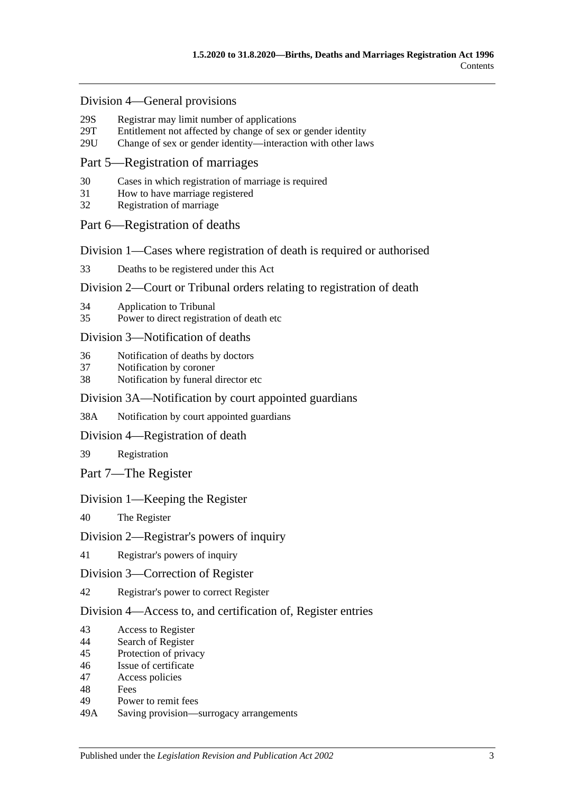#### Division [4—General provisions](#page-22-2)

- 29S [Registrar may limit number of applications](#page-22-3)<br>29T Entitlement not affected by change of sex of
- [Entitlement not affected by change of sex or gender identity](#page-23-0)
- 29U [Change of sex or gender identity—interaction with other laws](#page-23-1)

#### [Part 5—Registration of marriages](#page-23-2)

- 30 [Cases in which registration of marriage is required](#page-23-3)
- 31 [How to have marriage registered](#page-23-4)
- 32 [Registration of marriage](#page-24-0)

#### [Part 6—Registration of deaths](#page-24-1)

[Division 1—Cases where registration of death is required or authorised](#page-24-2)

33 [Deaths to be registered under this Act](#page-24-3)

#### [Division 2—Court or Tribunal orders relating to registration of death](#page-24-4)

- 34 [Application to Tribunal](#page-24-5)
- 35 [Power to direct registration of death etc](#page-24-6)

#### [Division 3—Notification of deaths](#page-25-0)

- 36 [Notification of deaths by doctors](#page-25-1)
- 37 [Notification by coroner](#page-25-2)
- 38 [Notification by funeral director etc](#page-26-0)

#### [Division 3A—Notification by court appointed guardians](#page-26-1)

38A [Notification by court appointed guardians](#page-26-2)

#### [Division 4—Registration of death](#page-27-0)

39 [Registration](#page-27-1)

[Part 7—The Register](#page-27-2)

#### [Division 1—Keeping the Register](#page-27-3)

40 [The Register](#page-27-4)

#### [Division 2—Registrar's powers of inquiry](#page-28-0)

41 [Registrar's powers of inquiry](#page-28-1)

#### [Division 3—Correction of Register](#page-28-2)

42 [Registrar's power to correct Register](#page-28-3)

#### [Division 4—Access to, and certification of, Register entries](#page-28-4)

- 43 [Access to Register](#page-28-5)
- 44 [Search of Register](#page-29-0)
- 45 [Protection of privacy](#page-29-1)
- 46 [Issue of certificate](#page-29-2)
- 47 [Access policies](#page-30-0)
- 48 [Fees](#page-30-1)
- 49 [Power to remit fees](#page-30-2)
- 49A [Saving provision—surrogacy arrangements](#page-30-3)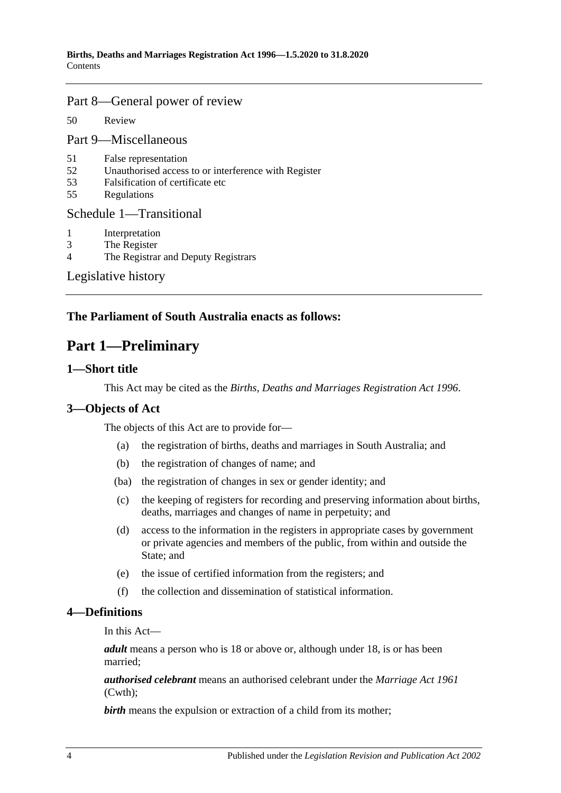#### [Part 8—General power of review](#page-30-4)

50 [Review](#page-30-5)

[Part 9—Miscellaneous](#page-31-0)

- 51 [False representation](#page-31-1)
- 52 [Unauthorised access to or interference with Register](#page-31-2)
- 53 [Falsification of certificate etc](#page-31-3)
- 55 [Regulations](#page-31-4)

#### [Schedule 1—Transitional](#page-31-5)

- 1 [Interpretation](#page-31-6)
- 3 [The Register](#page-32-0)
- 4 [The Registrar and Deputy Registrars](#page-32-1)

[Legislative history](#page-33-0)

## <span id="page-3-0"></span>**The Parliament of South Australia enacts as follows:**

# **Part 1—Preliminary**

#### <span id="page-3-1"></span>**1—Short title**

This Act may be cited as the *Births, Deaths and Marriages Registration Act 1996*.

## <span id="page-3-2"></span>**3—Objects of Act**

The objects of this Act are to provide for—

- (a) the registration of births, deaths and marriages in South Australia; and
- (b) the registration of changes of name; and
- (ba) the registration of changes in sex or gender identity; and
- (c) the keeping of registers for recording and preserving information about births, deaths, marriages and changes of name in perpetuity; and
- (d) access to the information in the registers in appropriate cases by government or private agencies and members of the public, from within and outside the State; and
- (e) the issue of certified information from the registers; and
- (f) the collection and dissemination of statistical information.

#### <span id="page-3-3"></span>**4—Definitions**

In this Act—

*adult* means a person who is 18 or above or, although under 18, is or has been married;

*authorised celebrant* means an authorised celebrant under the *Marriage Act 1961* (Cwth);

**birth** means the expulsion or extraction of a child from its mother;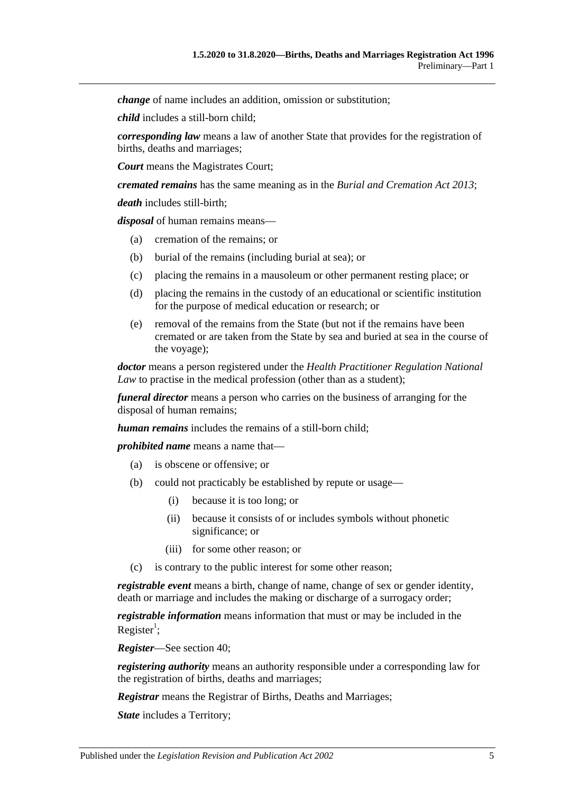*change* of name includes an addition, omission or substitution;

*child* includes a still-born child;

*corresponding law* means a law of another State that provides for the registration of births, deaths and marriages;

*Court* means the Magistrates Court;

*cremated remains* has the same meaning as in the *[Burial and Cremation Act](http://www.legislation.sa.gov.au/index.aspx?action=legref&type=act&legtitle=Burial%20and%20Cremation%20Act%202013) 2013*;

*death* includes still-birth;

*disposal* of human remains means—

- (a) cremation of the remains; or
- (b) burial of the remains (including burial at sea); or
- (c) placing the remains in a mausoleum or other permanent resting place; or
- (d) placing the remains in the custody of an educational or scientific institution for the purpose of medical education or research; or
- (e) removal of the remains from the State (but not if the remains have been cremated or are taken from the State by sea and buried at sea in the course of the voyage);

*doctor* means a person registered under the *Health Practitioner Regulation National Law* to practise in the medical profession (other than as a student);

*funeral director* means a person who carries on the business of arranging for the disposal of human remains;

*human remains* includes the remains of a still-born child;

*prohibited name* means a name that—

- (a) is obscene or offensive; or
- (b) could not practicably be established by repute or usage—
	- (i) because it is too long; or
	- (ii) because it consists of or includes symbols without phonetic significance; or
	- (iii) for some other reason; or
- (c) is contrary to the public interest for some other reason;

*registrable event* means a birth, change of name, change of sex or gender identity, death or marriage and includes the making or discharge of a surrogacy order;

*registrable information* means information that must or may be included in the Register<sup>1</sup>;

*Register*—See [section](#page-27-4) 40;

*registering authority* means an authority responsible under a corresponding law for the registration of births, deaths and marriages;

*Registrar* means the Registrar of Births, Deaths and Marriages;

*State* includes a Territory;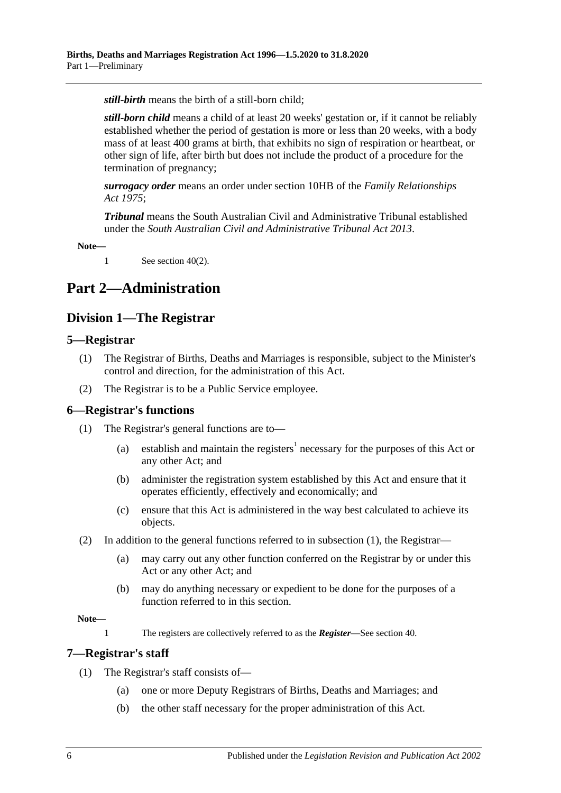*still-birth* means the birth of a still-born child;

*still-born child* means a child of at least 20 weeks' gestation or, if it cannot be reliably established whether the period of gestation is more or less than 20 weeks, with a body mass of at least 400 grams at birth, that exhibits no sign of respiration or heartbeat, or other sign of life, after birth but does not include the product of a procedure for the termination of pregnancy;

*surrogacy order* means an order under section 10HB of the *[Family Relationships](http://www.legislation.sa.gov.au/index.aspx?action=legref&type=act&legtitle=Family%20Relationships%20Act%201975)  Act [1975](http://www.legislation.sa.gov.au/index.aspx?action=legref&type=act&legtitle=Family%20Relationships%20Act%201975)*;

*Tribunal* means the South Australian Civil and Administrative Tribunal established under the *[South Australian Civil and Administrative Tribunal Act](http://www.legislation.sa.gov.au/index.aspx?action=legref&type=act&legtitle=South%20Australian%20Civil%20and%20Administrative%20Tribunal%20Act%202013) 2013*.

**Note—**

1 See [section](#page-27-5) 40(2).

# <span id="page-5-1"></span><span id="page-5-0"></span>**Part 2—Administration**

## **Division 1—The Registrar**

#### <span id="page-5-2"></span>**5—Registrar**

- (1) The Registrar of Births, Deaths and Marriages is responsible, subject to the Minister's control and direction, for the administration of this Act.
- (2) The Registrar is to be a Public Service employee.

#### <span id="page-5-5"></span><span id="page-5-3"></span>**6—Registrar's functions**

- (1) The Registrar's general functions are to—
	- (a) establish and maintain the registers<sup>1</sup> necessary for the purposes of this Act or any other Act; and
	- (b) administer the registration system established by this Act and ensure that it operates efficiently, effectively and economically; and
	- (c) ensure that this Act is administered in the way best calculated to achieve its objects.
- (2) In addition to the general functions referred to in [subsection](#page-5-5) (1), the Registrar—
	- (a) may carry out any other function conferred on the Registrar by or under this Act or any other Act; and
	- (b) may do anything necessary or expedient to be done for the purposes of a function referred to in this section.

#### **Note—**

1 The registers are collectively referred to as the *Register*—See [section](#page-27-4) 40.

#### <span id="page-5-4"></span>**7—Registrar's staff**

- (1) The Registrar's staff consists of—
	- (a) one or more Deputy Registrars of Births, Deaths and Marriages; and
	- (b) the other staff necessary for the proper administration of this Act.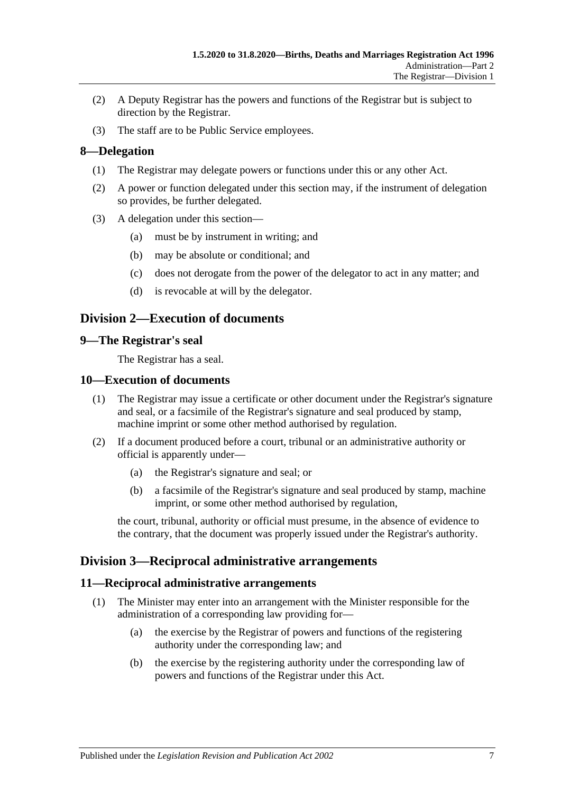- (2) A Deputy Registrar has the powers and functions of the Registrar but is subject to direction by the Registrar.
- (3) The staff are to be Public Service employees.

## <span id="page-6-0"></span>**8—Delegation**

- (1) The Registrar may delegate powers or functions under this or any other Act.
- (2) A power or function delegated under this section may, if the instrument of delegation so provides, be further delegated.
- (3) A delegation under this section—
	- (a) must be by instrument in writing; and
	- (b) may be absolute or conditional; and
	- (c) does not derogate from the power of the delegator to act in any matter; and
	- (d) is revocable at will by the delegator.

## <span id="page-6-1"></span>**Division 2—Execution of documents**

#### <span id="page-6-2"></span>**9—The Registrar's seal**

The Registrar has a seal.

#### <span id="page-6-3"></span>**10—Execution of documents**

- (1) The Registrar may issue a certificate or other document under the Registrar's signature and seal, or a facsimile of the Registrar's signature and seal produced by stamp, machine imprint or some other method authorised by regulation.
- (2) If a document produced before a court, tribunal or an administrative authority or official is apparently under—
	- (a) the Registrar's signature and seal; or
	- (b) a facsimile of the Registrar's signature and seal produced by stamp, machine imprint, or some other method authorised by regulation,

the court, tribunal, authority or official must presume, in the absence of evidence to the contrary, that the document was properly issued under the Registrar's authority.

## <span id="page-6-4"></span>**Division 3—Reciprocal administrative arrangements**

#### <span id="page-6-5"></span>**11—Reciprocal administrative arrangements**

- (1) The Minister may enter into an arrangement with the Minister responsible for the administration of a corresponding law providing for—
	- (a) the exercise by the Registrar of powers and functions of the registering authority under the corresponding law; and
	- (b) the exercise by the registering authority under the corresponding law of powers and functions of the Registrar under this Act.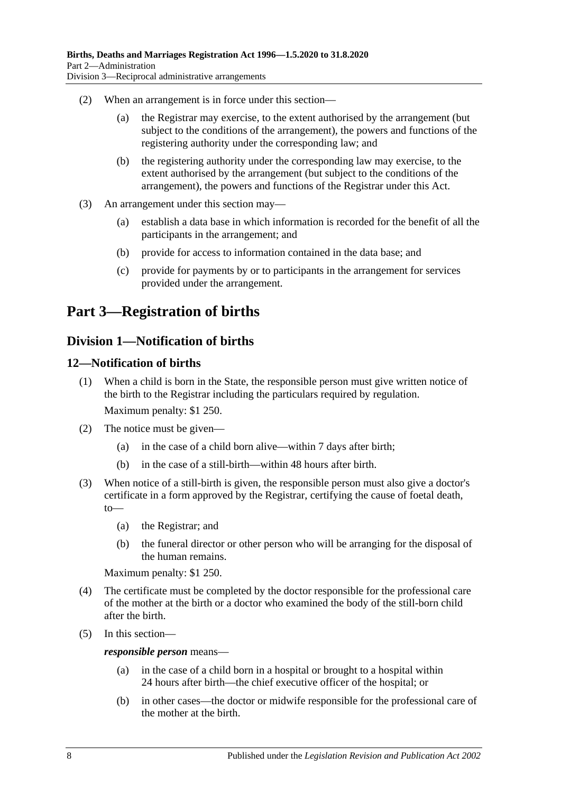- (2) When an arrangement is in force under this section—
	- (a) the Registrar may exercise, to the extent authorised by the arrangement (but subject to the conditions of the arrangement), the powers and functions of the registering authority under the corresponding law; and
	- (b) the registering authority under the corresponding law may exercise, to the extent authorised by the arrangement (but subject to the conditions of the arrangement), the powers and functions of the Registrar under this Act.
- (3) An arrangement under this section may—
	- (a) establish a data base in which information is recorded for the benefit of all the participants in the arrangement; and
	- (b) provide for access to information contained in the data base; and
	- (c) provide for payments by or to participants in the arrangement for services provided under the arrangement.

# <span id="page-7-0"></span>**Part 3—Registration of births**

## <span id="page-7-1"></span>**Division 1—Notification of births**

## <span id="page-7-2"></span>**12—Notification of births**

- (1) When a child is born in the State, the responsible person must give written notice of the birth to the Registrar including the particulars required by regulation. Maximum penalty: \$1 250.
- (2) The notice must be given—
	- (a) in the case of a child born alive—within 7 days after birth;
	- (b) in the case of a still-birth—within 48 hours after birth.
- (3) When notice of a still-birth is given, the responsible person must also give a doctor's certificate in a form approved by the Registrar, certifying the cause of foetal death, to—
	- (a) the Registrar; and
	- (b) the funeral director or other person who will be arranging for the disposal of the human remains.

Maximum penalty: \$1 250.

- (4) The certificate must be completed by the doctor responsible for the professional care of the mother at the birth or a doctor who examined the body of the still-born child after the birth.
- (5) In this section—

#### *responsible person* means—

- (a) in the case of a child born in a hospital or brought to a hospital within 24 hours after birth—the chief executive officer of the hospital; or
- (b) in other cases—the doctor or midwife responsible for the professional care of the mother at the birth.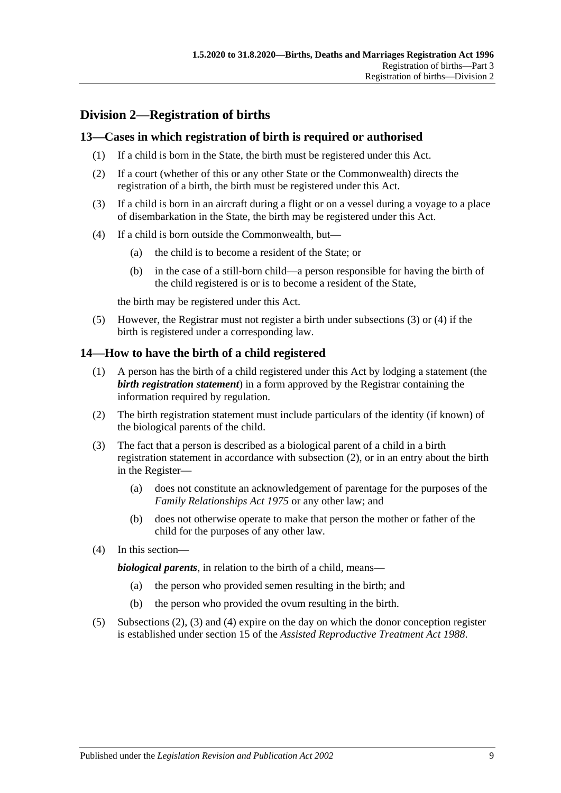# <span id="page-8-0"></span>**Division 2—Registration of births**

## <span id="page-8-1"></span>**13—Cases in which registration of birth is required or authorised**

- (1) If a child is born in the State, the birth must be registered under this Act.
- (2) If a court (whether of this or any other State or the Commonwealth) directs the registration of a birth, the birth must be registered under this Act.
- <span id="page-8-3"></span>(3) If a child is born in an aircraft during a flight or on a vessel during a voyage to a place of disembarkation in the State, the birth may be registered under this Act.
- <span id="page-8-4"></span>(4) If a child is born outside the Commonwealth, but—
	- (a) the child is to become a resident of the State; or
	- (b) in the case of a still-born child—a person responsible for having the birth of the child registered is or is to become a resident of the State,

the birth may be registered under this Act.

(5) However, the Registrar must not register a birth under [subsections](#page-8-3) (3) or [\(4\)](#page-8-4) if the birth is registered under a corresponding law.

## <span id="page-8-2"></span>**14—How to have the birth of a child registered**

- (1) A person has the birth of a child registered under this Act by lodging a statement (the *birth registration statement*) in a form approved by the Registrar containing the information required by regulation.
- <span id="page-8-5"></span>(2) The birth registration statement must include particulars of the identity (if known) of the biological parents of the child.
- <span id="page-8-6"></span>(3) The fact that a person is described as a biological parent of a child in a birth registration statement in accordance with [subsection](#page-8-5) (2), or in an entry about the birth in the Register—
	- (a) does not constitute an acknowledgement of parentage for the purposes of the *[Family Relationships Act](http://www.legislation.sa.gov.au/index.aspx?action=legref&type=act&legtitle=Family%20Relationships%20Act%201975) 1975* or any other law; and
	- (b) does not otherwise operate to make that person the mother or father of the child for the purposes of any other law.
- <span id="page-8-7"></span>(4) In this section—

*biological parents*, in relation to the birth of a child, means—

- (a) the person who provided semen resulting in the birth; and
- (b) the person who provided the ovum resulting in the birth.
- (5) [Subsections](#page-8-5) (2), [\(3\)](#page-8-6) and [\(4\)](#page-8-7) expire on the day on which the donor conception register is established under section 15 of the *[Assisted Reproductive Treatment Act](http://www.legislation.sa.gov.au/index.aspx?action=legref&type=act&legtitle=Assisted%20Reproductive%20Treatment%20Act%201988) 1988*.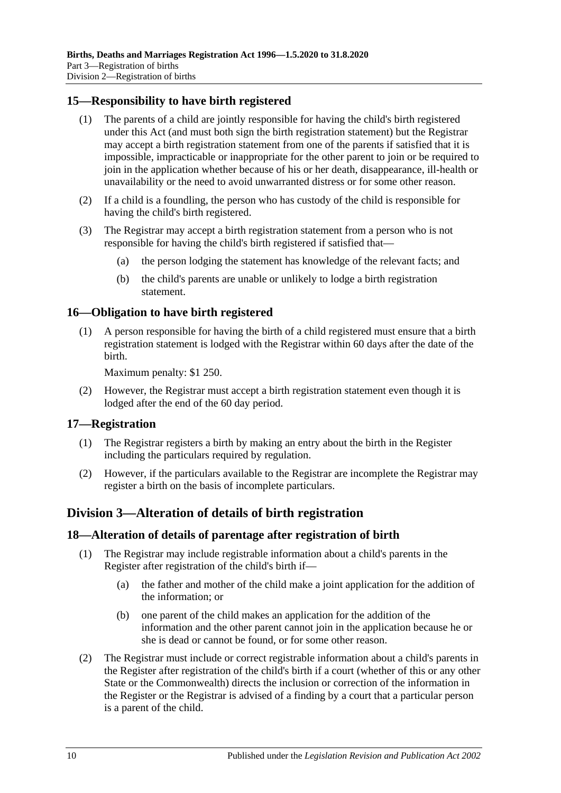## <span id="page-9-0"></span>**15—Responsibility to have birth registered**

- (1) The parents of a child are jointly responsible for having the child's birth registered under this Act (and must both sign the birth registration statement) but the Registrar may accept a birth registration statement from one of the parents if satisfied that it is impossible, impracticable or inappropriate for the other parent to join or be required to join in the application whether because of his or her death, disappearance, ill-health or unavailability or the need to avoid unwarranted distress or for some other reason.
- (2) If a child is a foundling, the person who has custody of the child is responsible for having the child's birth registered.
- (3) The Registrar may accept a birth registration statement from a person who is not responsible for having the child's birth registered if satisfied that—
	- (a) the person lodging the statement has knowledge of the relevant facts; and
	- (b) the child's parents are unable or unlikely to lodge a birth registration statement.

## <span id="page-9-1"></span>**16—Obligation to have birth registered**

(1) A person responsible for having the birth of a child registered must ensure that a birth registration statement is lodged with the Registrar within 60 days after the date of the birth.

Maximum penalty: \$1 250.

(2) However, the Registrar must accept a birth registration statement even though it is lodged after the end of the 60 day period.

#### <span id="page-9-2"></span>**17—Registration**

- (1) The Registrar registers a birth by making an entry about the birth in the Register including the particulars required by regulation.
- (2) However, if the particulars available to the Registrar are incomplete the Registrar may register a birth on the basis of incomplete particulars.

## <span id="page-9-3"></span>**Division 3—Alteration of details of birth registration**

#### <span id="page-9-4"></span>**18—Alteration of details of parentage after registration of birth**

- (1) The Registrar may include registrable information about a child's parents in the Register after registration of the child's birth if—
	- (a) the father and mother of the child make a joint application for the addition of the information; or
	- (b) one parent of the child makes an application for the addition of the information and the other parent cannot join in the application because he or she is dead or cannot be found, or for some other reason.
- (2) The Registrar must include or correct registrable information about a child's parents in the Register after registration of the child's birth if a court (whether of this or any other State or the Commonwealth) directs the inclusion or correction of the information in the Register or the Registrar is advised of a finding by a court that a particular person is a parent of the child.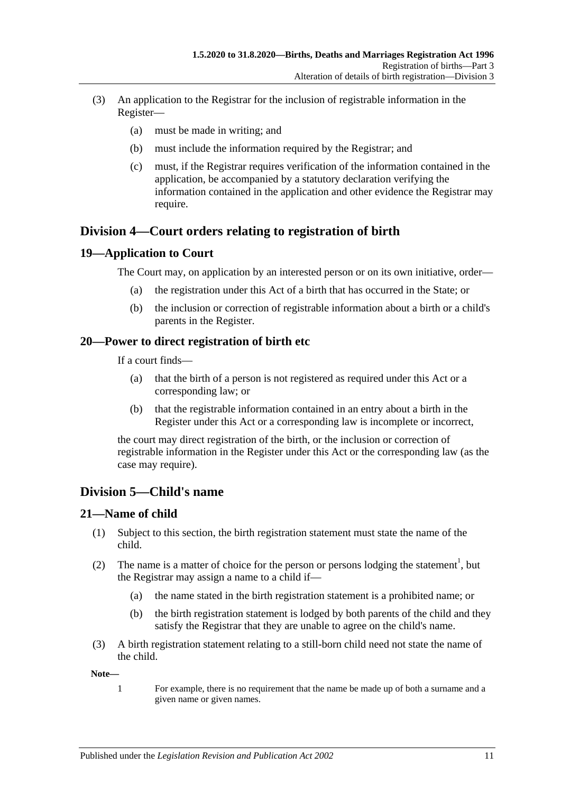- (3) An application to the Registrar for the inclusion of registrable information in the Register—
	- (a) must be made in writing; and
	- (b) must include the information required by the Registrar; and
	- (c) must, if the Registrar requires verification of the information contained in the application, be accompanied by a statutory declaration verifying the information contained in the application and other evidence the Registrar may require.

## <span id="page-10-0"></span>**Division 4—Court orders relating to registration of birth**

#### <span id="page-10-1"></span>**19—Application to Court**

The Court may, on application by an interested person or on its own initiative, order—

- (a) the registration under this Act of a birth that has occurred in the State; or
- (b) the inclusion or correction of registrable information about a birth or a child's parents in the Register.

#### <span id="page-10-2"></span>**20—Power to direct registration of birth etc**

If a court finds—

- (a) that the birth of a person is not registered as required under this Act or a corresponding law; or
- (b) that the registrable information contained in an entry about a birth in the Register under this Act or a corresponding law is incomplete or incorrect,

the court may direct registration of the birth, or the inclusion or correction of registrable information in the Register under this Act or the corresponding law (as the case may require).

## <span id="page-10-3"></span>**Division 5—Child's name**

#### <span id="page-10-4"></span>**21—Name of child**

- (1) Subject to this section, the birth registration statement must state the name of the child.
- (2) The name is a matter of choice for the person or persons lodging the statement<sup>1</sup>, but the Registrar may assign a name to a child if—
	- (a) the name stated in the birth registration statement is a prohibited name; or
	- (b) the birth registration statement is lodged by both parents of the child and they satisfy the Registrar that they are unable to agree on the child's name.
- (3) A birth registration statement relating to a still-born child need not state the name of the child.

**Note—**

1 For example, there is no requirement that the name be made up of both a surname and a given name or given names.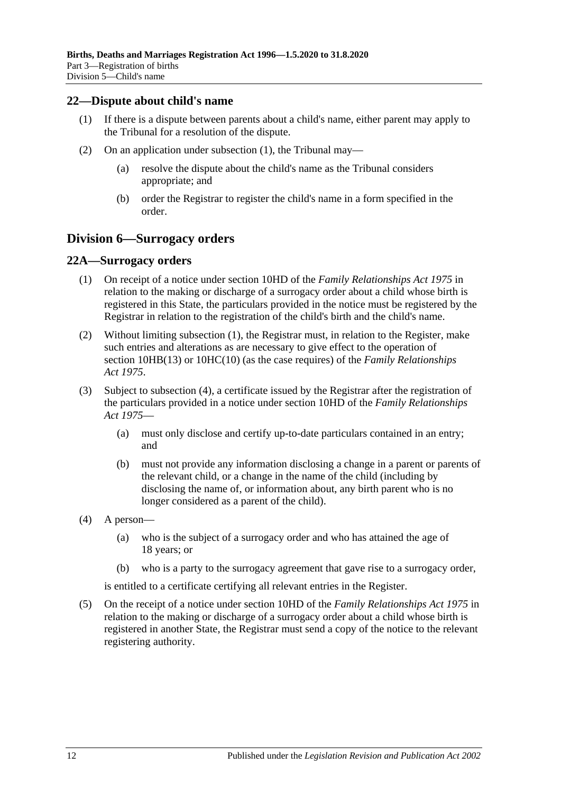#### <span id="page-11-3"></span><span id="page-11-0"></span>**22—Dispute about child's name**

- (1) If there is a dispute between parents about a child's name, either parent may apply to the Tribunal for a resolution of the dispute.
- (2) On an application under [subsection](#page-11-3) (1), the Tribunal may—
	- (a) resolve the dispute about the child's name as the Tribunal considers appropriate; and
	- (b) order the Registrar to register the child's name in a form specified in the order.

## <span id="page-11-1"></span>**Division 6—Surrogacy orders**

#### <span id="page-11-4"></span><span id="page-11-2"></span>**22A—Surrogacy orders**

- (1) On receipt of a notice under section 10HD of the *[Family Relationships Act](http://www.legislation.sa.gov.au/index.aspx?action=legref&type=act&legtitle=Family%20Relationships%20Act%201975) 1975* in relation to the making or discharge of a surrogacy order about a child whose birth is registered in this State, the particulars provided in the notice must be registered by the Registrar in relation to the registration of the child's birth and the child's name.
- (2) Without limiting [subsection](#page-11-4) (1), the Registrar must, in relation to the Register, make such entries and alterations as are necessary to give effect to the operation of section 10HB(13) or 10HC(10) (as the case requires) of the *[Family Relationships](http://www.legislation.sa.gov.au/index.aspx?action=legref&type=act&legtitle=Family%20Relationships%20Act%201975)  Act [1975](http://www.legislation.sa.gov.au/index.aspx?action=legref&type=act&legtitle=Family%20Relationships%20Act%201975)*.
- (3) Subject to [subsection](#page-11-5) (4), a certificate issued by the Registrar after the registration of the particulars provided in a notice under section 10HD of the *[Family Relationships](http://www.legislation.sa.gov.au/index.aspx?action=legref&type=act&legtitle=Family%20Relationships%20Act%201975)  Act [1975](http://www.legislation.sa.gov.au/index.aspx?action=legref&type=act&legtitle=Family%20Relationships%20Act%201975)*—
	- (a) must only disclose and certify up-to-date particulars contained in an entry; and
	- (b) must not provide any information disclosing a change in a parent or parents of the relevant child, or a change in the name of the child (including by disclosing the name of, or information about, any birth parent who is no longer considered as a parent of the child).
- <span id="page-11-5"></span>(4) A person—
	- (a) who is the subject of a surrogacy order and who has attained the age of 18 years; or
	- (b) who is a party to the surrogacy agreement that gave rise to a surrogacy order,

is entitled to a certificate certifying all relevant entries in the Register.

(5) On the receipt of a notice under section 10HD of the *[Family Relationships Act](http://www.legislation.sa.gov.au/index.aspx?action=legref&type=act&legtitle=Family%20Relationships%20Act%201975) 1975* in relation to the making or discharge of a surrogacy order about a child whose birth is registered in another State, the Registrar must send a copy of the notice to the relevant registering authority.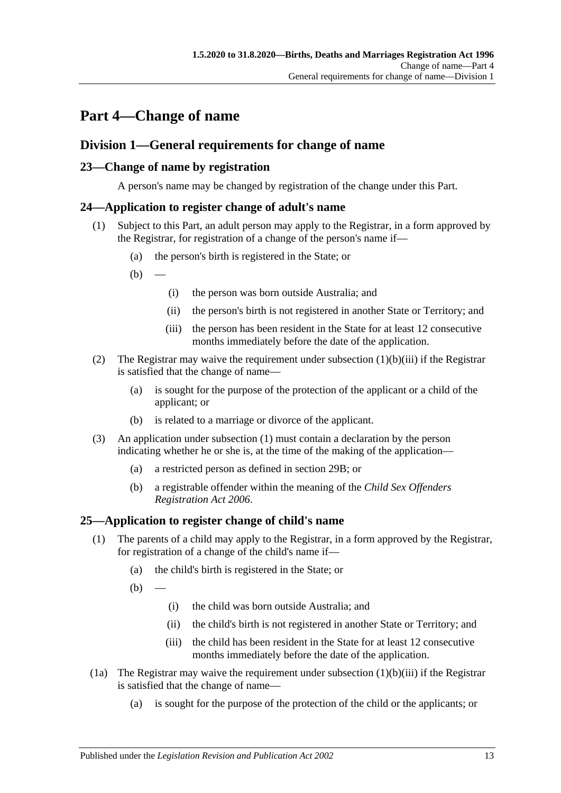# <span id="page-12-0"></span>**Part 4—Change of name**

## <span id="page-12-1"></span>**Division 1—General requirements for change of name**

## <span id="page-12-2"></span>**23—Change of name by registration**

A person's name may be changed by registration of the change under this Part.

## <span id="page-12-6"></span><span id="page-12-3"></span>**24—Application to register change of adult's name**

- (1) Subject to this Part, an adult person may apply to the Registrar, in a form approved by the Registrar, for registration of a change of the person's name if—
	- (a) the person's birth is registered in the State; or
	- $(b)$ 
		- (i) the person was born outside Australia; and
		- (ii) the person's birth is not registered in another State or Territory; and
		- (iii) the person has been resident in the State for at least 12 consecutive months immediately before the date of the application.
- <span id="page-12-5"></span>(2) The Registrar may waive the requirement under [subsection](#page-12-5)  $(1)(b)(iii)$  if the Registrar is satisfied that the change of name—
	- (a) is sought for the purpose of the protection of the applicant or a child of the applicant; or
	- (b) is related to a marriage or divorce of the applicant.
- (3) An application under [subsection](#page-12-6) (1) must contain a declaration by the person indicating whether he or she is, at the time of the making of the application—
	- (a) a restricted person as defined in [section](#page-15-4) 29B; or
	- (b) a registrable offender within the meaning of the *[Child Sex Offenders](http://www.legislation.sa.gov.au/index.aspx?action=legref&type=act&legtitle=Child%20Sex%20Offenders%20Registration%20Act%202006)  [Registration Act](http://www.legislation.sa.gov.au/index.aspx?action=legref&type=act&legtitle=Child%20Sex%20Offenders%20Registration%20Act%202006) 2006*.

## <span id="page-12-4"></span>**25—Application to register change of child's name**

- (1) The parents of a child may apply to the Registrar, in a form approved by the Registrar, for registration of a change of the child's name if—
	- (a) the child's birth is registered in the State; or

 $(b)$ 

- (i) the child was born outside Australia; and
- (ii) the child's birth is not registered in another State or Territory; and
- (iii) the child has been resident in the State for at least 12 consecutive months immediately before the date of the application.
- <span id="page-12-7"></span>(1a) The Registrar may waive the requirement under [subsection](#page-12-7)  $(1)(b)(iii)$  if the Registrar is satisfied that the change of name—
	- (a) is sought for the purpose of the protection of the child or the applicants; or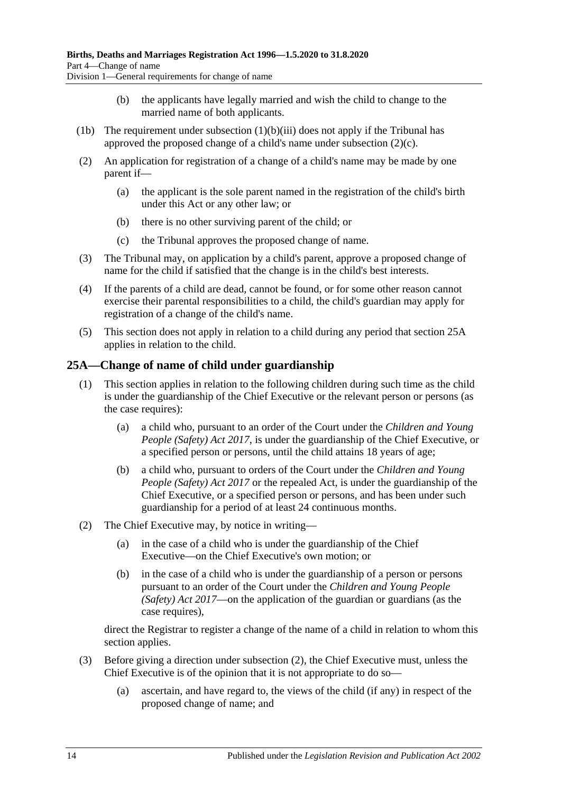- (b) the applicants have legally married and wish the child to change to the married name of both applicants.
- (1b) The requirement under [subsection](#page-12-7)  $(1)(b)(iii)$  does not apply if the Tribunal has approved the proposed change of a child's name under [subsection](#page-13-1) (2)(c).
- (2) An application for registration of a change of a child's name may be made by one parent if—
	- (a) the applicant is the sole parent named in the registration of the child's birth under this Act or any other law; or
	- (b) there is no other surviving parent of the child; or
	- (c) the Tribunal approves the proposed change of name.
- <span id="page-13-1"></span>(3) The Tribunal may, on application by a child's parent, approve a proposed change of name for the child if satisfied that the change is in the child's best interests.
- (4) If the parents of a child are dead, cannot be found, or for some other reason cannot exercise their parental responsibilities to a child, the child's guardian may apply for registration of a change of the child's name.
- (5) This section does not apply in relation to a child during any period that [section](#page-13-0) 25A applies in relation to the child.

## <span id="page-13-0"></span>**25A—Change of name of child under guardianship**

- (1) This section applies in relation to the following children during such time as the child is under the guardianship of the Chief Executive or the relevant person or persons (as the case requires):
	- (a) a child who, pursuant to an order of the Court under the *[Children and Young](http://www.legislation.sa.gov.au/index.aspx?action=legref&type=act&legtitle=Children%20and%20Young%20People%20(Safety)%20Act%202017)  [People \(Safety\) Act](http://www.legislation.sa.gov.au/index.aspx?action=legref&type=act&legtitle=Children%20and%20Young%20People%20(Safety)%20Act%202017) 2017*, is under the guardianship of the Chief Executive, or a specified person or persons, until the child attains 18 years of age;
	- (b) a child who, pursuant to orders of the Court under the *[Children and Young](http://www.legislation.sa.gov.au/index.aspx?action=legref&type=act&legtitle=Children%20and%20Young%20People%20(Safety)%20Act%202017)  [People \(Safety\) Act](http://www.legislation.sa.gov.au/index.aspx?action=legref&type=act&legtitle=Children%20and%20Young%20People%20(Safety)%20Act%202017) 2017* or the repealed Act, is under the guardianship of the Chief Executive, or a specified person or persons, and has been under such guardianship for a period of at least 24 continuous months.
- <span id="page-13-2"></span>(2) The Chief Executive may, by notice in writing—
	- (a) in the case of a child who is under the guardianship of the Chief Executive—on the Chief Executive's own motion; or
	- (b) in the case of a child who is under the guardianship of a person or persons pursuant to an order of the Court under the *[Children and Young People](http://www.legislation.sa.gov.au/index.aspx?action=legref&type=act&legtitle=Children%20and%20Young%20People%20(Safety)%20Act%202017)  [\(Safety\) Act](http://www.legislation.sa.gov.au/index.aspx?action=legref&type=act&legtitle=Children%20and%20Young%20People%20(Safety)%20Act%202017) 2017*—on the application of the guardian or guardians (as the case requires),

direct the Registrar to register a change of the name of a child in relation to whom this section applies.

- (3) Before giving a direction under [subsection](#page-13-2) (2), the Chief Executive must, unless the Chief Executive is of the opinion that it is not appropriate to do so—
	- (a) ascertain, and have regard to, the views of the child (if any) in respect of the proposed change of name; and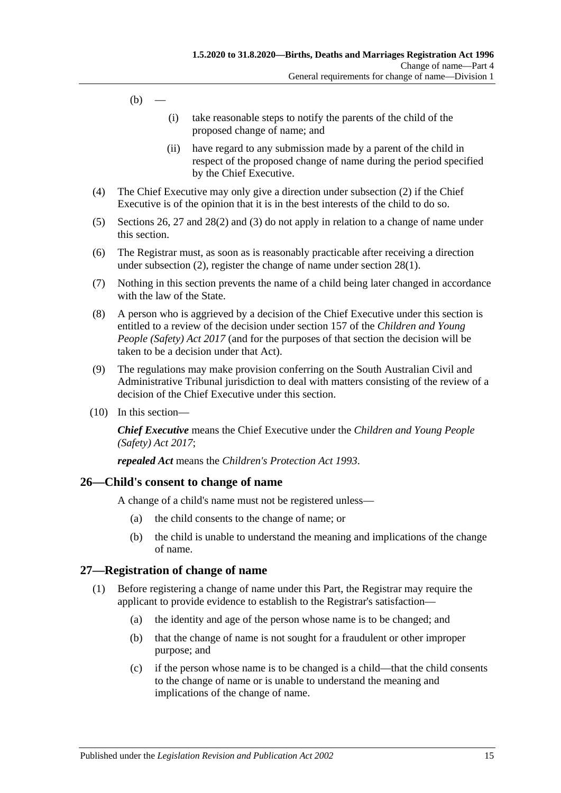- $(b)$
- (i) take reasonable steps to notify the parents of the child of the proposed change of name; and
- (ii) have regard to any submission made by a parent of the child in respect of the proposed change of name during the period specified by the Chief Executive.
- (4) The Chief Executive may only give a direction under [subsection](#page-13-2) (2) if the Chief Executive is of the opinion that it is in the best interests of the child to do so.
- (5) [Sections](#page-14-0) 26, [27](#page-14-1) and [28\(2\)](#page-15-5) and [\(3\)](#page-15-6) do not apply in relation to a change of name under this section.
- (6) The Registrar must, as soon as is reasonably practicable after receiving a direction under [subsection](#page-13-2) (2), register the change of name under [section](#page-15-7) 28(1).
- (7) Nothing in this section prevents the name of a child being later changed in accordance with the law of the State.
- (8) A person who is aggrieved by a decision of the Chief Executive under this section is entitled to a review of the decision under section 157 of the *[Children and Young](http://www.legislation.sa.gov.au/index.aspx?action=legref&type=act&legtitle=Children%20and%20Young%20People%20(Safety)%20Act%202017)  [People \(Safety\) Act](http://www.legislation.sa.gov.au/index.aspx?action=legref&type=act&legtitle=Children%20and%20Young%20People%20(Safety)%20Act%202017) 2017* (and for the purposes of that section the decision will be taken to be a decision under that Act).
- (9) The regulations may make provision conferring on the South Australian Civil and Administrative Tribunal jurisdiction to deal with matters consisting of the review of a decision of the Chief Executive under this section.
- (10) In this section—

*Chief Executive* means the Chief Executive under the *[Children and Young People](http://www.legislation.sa.gov.au/index.aspx?action=legref&type=act&legtitle=Children%20and%20Young%20People%20(Safety)%20Act%202017)  [\(Safety\) Act](http://www.legislation.sa.gov.au/index.aspx?action=legref&type=act&legtitle=Children%20and%20Young%20People%20(Safety)%20Act%202017) 2017*;

*repealed Act* means the *[Children's Protection Act](http://www.legislation.sa.gov.au/index.aspx?action=legref&type=act&legtitle=Childrens%20Protection%20Act%201993) 1993*.

#### <span id="page-14-0"></span>**26—Child's consent to change of name**

A change of a child's name must not be registered unless—

- (a) the child consents to the change of name; or
- (b) the child is unable to understand the meaning and implications of the change of name.

#### <span id="page-14-1"></span>**27—Registration of change of name**

- (1) Before registering a change of name under this Part, the Registrar may require the applicant to provide evidence to establish to the Registrar's satisfaction—
	- (a) the identity and age of the person whose name is to be changed; and
	- (b) that the change of name is not sought for a fraudulent or other improper purpose; and
	- (c) if the person whose name is to be changed is a child—that the child consents to the change of name or is unable to understand the meaning and implications of the change of name.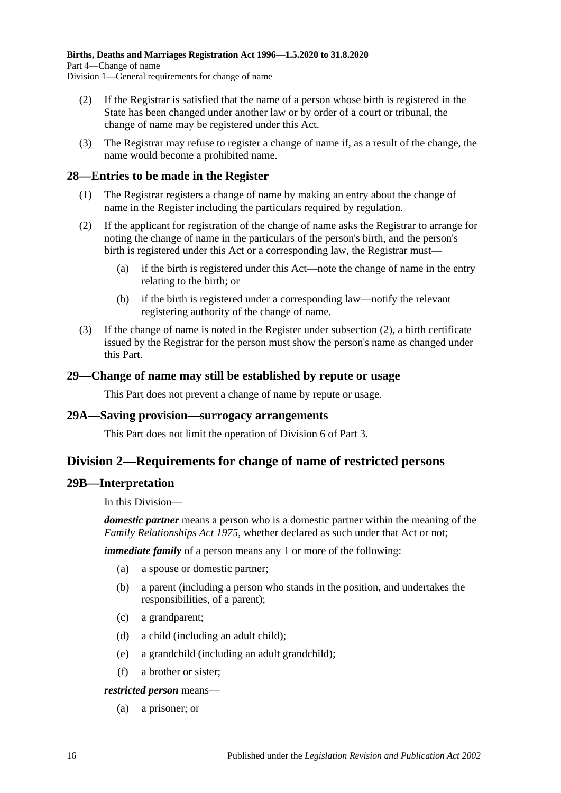- (2) If the Registrar is satisfied that the name of a person whose birth is registered in the State has been changed under another law or by order of a court or tribunal, the change of name may be registered under this Act.
- (3) The Registrar may refuse to register a change of name if, as a result of the change, the name would become a prohibited name.

#### <span id="page-15-7"></span><span id="page-15-0"></span>**28—Entries to be made in the Register**

- (1) The Registrar registers a change of name by making an entry about the change of name in the Register including the particulars required by regulation.
- <span id="page-15-5"></span>(2) If the applicant for registration of the change of name asks the Registrar to arrange for noting the change of name in the particulars of the person's birth, and the person's birth is registered under this Act or a corresponding law, the Registrar must—
	- (a) if the birth is registered under this Act—note the change of name in the entry relating to the birth; or
	- (b) if the birth is registered under a corresponding law—notify the relevant registering authority of the change of name.
- <span id="page-15-6"></span>(3) If the change of name is noted in the Register under [subsection](#page-15-5) (2), a birth certificate issued by the Registrar for the person must show the person's name as changed under this Part.

#### <span id="page-15-1"></span>**29—Change of name may still be established by repute or usage**

This Part does not prevent a change of name by repute or usage.

#### <span id="page-15-2"></span>**29A—Saving provision—surrogacy arrangements**

This Part does not limit the operation of [Division 6](#page-11-1) of [Part 3.](#page-7-0)

## <span id="page-15-3"></span>**Division 2—Requirements for change of name of restricted persons**

#### <span id="page-15-4"></span>**29B—Interpretation**

In this Division—

*domestic partner* means a person who is a domestic partner within the meaning of the *[Family Relationships Act](http://www.legislation.sa.gov.au/index.aspx?action=legref&type=act&legtitle=Family%20Relationships%20Act%201975) 1975*, whether declared as such under that Act or not;

*immediate family* of a person means any 1 or more of the following:

- (a) a spouse or domestic partner;
- (b) a parent (including a person who stands in the position, and undertakes the responsibilities, of a parent);
- (c) a grandparent;
- (d) a child (including an adult child);
- (e) a grandchild (including an adult grandchild);
- (f) a brother or sister;

*restricted person* means—

(a) a prisoner; or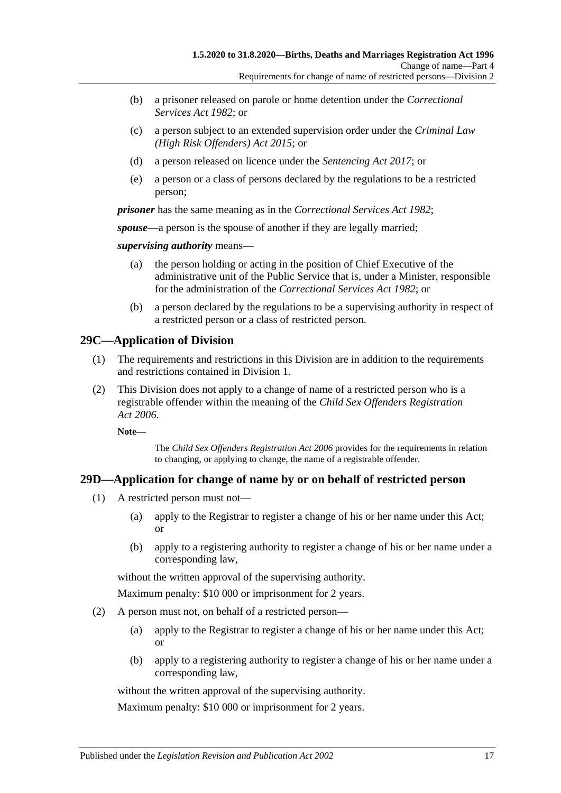- (b) a prisoner released on parole or home detention under the *[Correctional](http://www.legislation.sa.gov.au/index.aspx?action=legref&type=act&legtitle=Correctional%20Services%20Act%201982)  [Services Act](http://www.legislation.sa.gov.au/index.aspx?action=legref&type=act&legtitle=Correctional%20Services%20Act%201982) 1982*; or
- (c) a person subject to an extended supervision order under the *[Criminal Law](http://www.legislation.sa.gov.au/index.aspx?action=legref&type=act&legtitle=Criminal%20Law%20(High%20Risk%20Offenders)%20Act%202015)  [\(High Risk Offenders\) Act](http://www.legislation.sa.gov.au/index.aspx?action=legref&type=act&legtitle=Criminal%20Law%20(High%20Risk%20Offenders)%20Act%202015) 2015*; or
- (d) a person released on licence under the *[Sentencing Act](http://www.legislation.sa.gov.au/index.aspx?action=legref&type=act&legtitle=Sentencing%20Act%202017) 2017*; or
- (e) a person or a class of persons declared by the regulations to be a restricted person;

*prisoner* has the same meaning as in the *[Correctional Services Act](http://www.legislation.sa.gov.au/index.aspx?action=legref&type=act&legtitle=Correctional%20Services%20Act%201982) 1982*;

*spouse*—a person is the spouse of another if they are legally married;

*supervising authority* means—

- (a) the person holding or acting in the position of Chief Executive of the administrative unit of the Public Service that is, under a Minister, responsible for the administration of the *[Correctional Services Act](http://www.legislation.sa.gov.au/index.aspx?action=legref&type=act&legtitle=Correctional%20Services%20Act%201982) 1982*; or
- (b) a person declared by the regulations to be a supervising authority in respect of a restricted person or a class of restricted person.

## <span id="page-16-0"></span>**29C—Application of Division**

- (1) The requirements and restrictions in this Division are in addition to the requirements and restrictions contained in [Division 1.](#page-12-1)
- (2) This Division does not apply to a change of name of a restricted person who is a registrable offender within the meaning of the *[Child Sex Offenders Registration](http://www.legislation.sa.gov.au/index.aspx?action=legref&type=act&legtitle=Child%20Sex%20Offenders%20Registration%20Act%202006)  Act [2006](http://www.legislation.sa.gov.au/index.aspx?action=legref&type=act&legtitle=Child%20Sex%20Offenders%20Registration%20Act%202006)*.

**Note—**

The *[Child Sex Offenders Registration Act](http://www.legislation.sa.gov.au/index.aspx?action=legref&type=act&legtitle=Child%20Sex%20Offenders%20Registration%20Act%202006) 2006* provides for the requirements in relation to changing, or applying to change, the name of a registrable offender.

## <span id="page-16-2"></span><span id="page-16-1"></span>**29D—Application for change of name by or on behalf of restricted person**

- (1) A restricted person must not—
	- (a) apply to the Registrar to register a change of his or her name under this Act; or
	- (b) apply to a registering authority to register a change of his or her name under a corresponding law,

without the written approval of the supervising authority.

Maximum penalty: \$10 000 or imprisonment for 2 years.

- <span id="page-16-3"></span>(2) A person must not, on behalf of a restricted person—
	- (a) apply to the Registrar to register a change of his or her name under this Act; or
	- (b) apply to a registering authority to register a change of his or her name under a corresponding law,

without the written approval of the supervising authority.

Maximum penalty: \$10 000 or imprisonment for 2 years.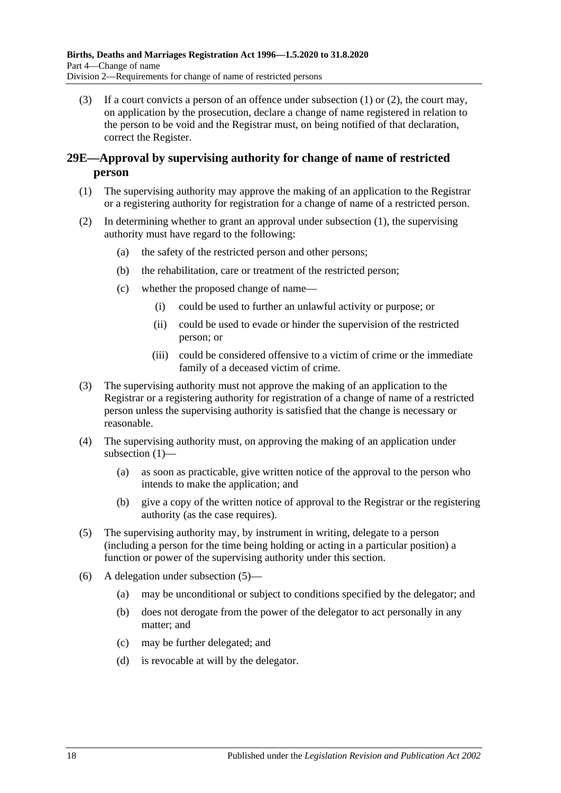(3) If a court convicts a person of an offence under [subsection \(1\)](#page-16-2) or [\(2\),](#page-16-3) the court may, on application by the prosecution, declare a change of name registered in relation to the person to be void and the Registrar must, on being notified of that declaration, correct the Register.

## <span id="page-17-0"></span>**29E—Approval by supervising authority for change of name of restricted person**

- <span id="page-17-1"></span>(1) The supervising authority may approve the making of an application to the Registrar or a registering authority for registration for a change of name of a restricted person.
- (2) In determining whether to grant an approval under [subsection](#page-17-1) (1), the supervising authority must have regard to the following:
	- (a) the safety of the restricted person and other persons;
	- (b) the rehabilitation, care or treatment of the restricted person;
	- (c) whether the proposed change of name—
		- (i) could be used to further an unlawful activity or purpose; or
		- (ii) could be used to evade or hinder the supervision of the restricted person; or
		- (iii) could be considered offensive to a victim of crime or the immediate family of a deceased victim of crime.
- (3) The supervising authority must not approve the making of an application to the Registrar or a registering authority for registration of a change of name of a restricted person unless the supervising authority is satisfied that the change is necessary or reasonable.
- (4) The supervising authority must, on approving the making of an application under [subsection](#page-17-1) (1)—
	- (a) as soon as practicable, give written notice of the approval to the person who intends to make the application; and
	- (b) give a copy of the written notice of approval to the Registrar or the registering authority (as the case requires).
- <span id="page-17-2"></span>(5) The supervising authority may, by instrument in writing, delegate to a person (including a person for the time being holding or acting in a particular position) a function or power of the supervising authority under this section.
- (6) A delegation under [subsection](#page-17-2) (5)—
	- (a) may be unconditional or subject to conditions specified by the delegator; and
	- (b) does not derogate from the power of the delegator to act personally in any matter; and
	- (c) may be further delegated; and
	- (d) is revocable at will by the delegator.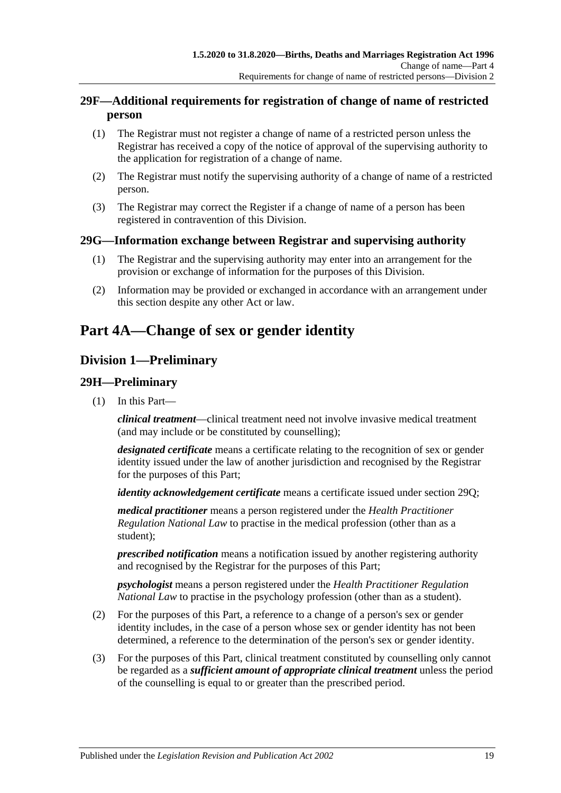## <span id="page-18-0"></span>**29F—Additional requirements for registration of change of name of restricted person**

- (1) The Registrar must not register a change of name of a restricted person unless the Registrar has received a copy of the notice of approval of the supervising authority to the application for registration of a change of name.
- (2) The Registrar must notify the supervising authority of a change of name of a restricted person.
- (3) The Registrar may correct the Register if a change of name of a person has been registered in contravention of this Division.

## <span id="page-18-1"></span>**29G—Information exchange between Registrar and supervising authority**

- (1) The Registrar and the supervising authority may enter into an arrangement for the provision or exchange of information for the purposes of this Division.
- (2) Information may be provided or exchanged in accordance with an arrangement under this section despite any other Act or law.

# <span id="page-18-2"></span>**Part 4A—Change of sex or gender identity**

## <span id="page-18-3"></span>**Division 1—Preliminary**

## <span id="page-18-4"></span>**29H—Preliminary**

(1) In this Part—

*clinical treatment*—clinical treatment need not involve invasive medical treatment (and may include or be constituted by counselling);

*designated certificate* means a certificate relating to the recognition of sex or gender identity issued under the law of another jurisdiction and recognised by the Registrar for the purposes of this Part;

*identity acknowledgement certificate* means a certificate issued under [section](#page-22-0) 29Q;

*medical practitioner* means a person registered under the *Health Practitioner Regulation National Law* to practise in the medical profession (other than as a student);

*prescribed notification* means a notification issued by another registering authority and recognised by the Registrar for the purposes of this Part;

*psychologist* means a person registered under the *Health Practitioner Regulation National Law* to practise in the psychology profession (other than as a student).

- (2) For the purposes of this Part, a reference to a change of a person's sex or gender identity includes, in the case of a person whose sex or gender identity has not been determined, a reference to the determination of the person's sex or gender identity.
- (3) For the purposes of this Part, clinical treatment constituted by counselling only cannot be regarded as a *sufficient amount of appropriate clinical treatment* unless the period of the counselling is equal to or greater than the prescribed period.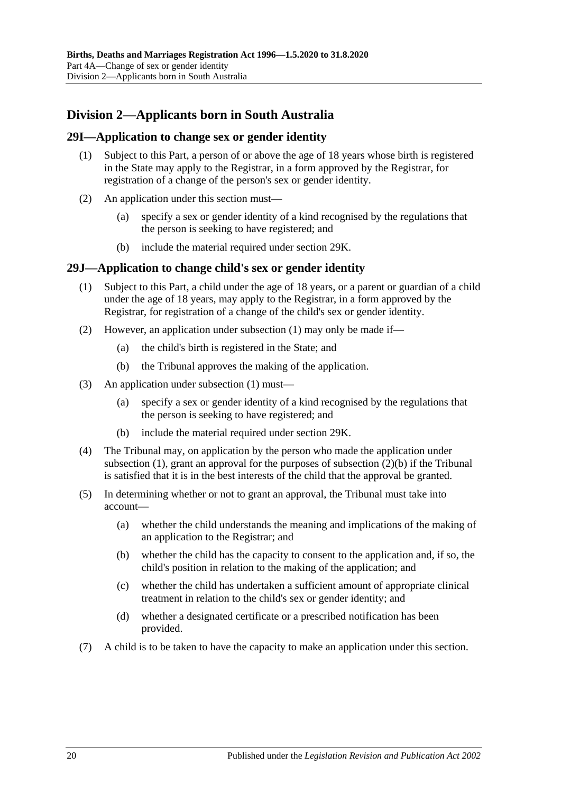# <span id="page-19-0"></span>**Division 2—Applicants born in South Australia**

#### <span id="page-19-1"></span>**29I—Application to change sex or gender identity**

- (1) Subject to this Part, a person of or above the age of 18 years whose birth is registered in the State may apply to the Registrar, in a form approved by the Registrar, for registration of a change of the person's sex or gender identity.
- (2) An application under this section must—
	- (a) specify a sex or gender identity of a kind recognised by the regulations that the person is seeking to have registered; and
	- (b) include the material required under [section](#page-20-0) 29K.

#### <span id="page-19-3"></span><span id="page-19-2"></span>**29J—Application to change child's sex or gender identity**

- (1) Subject to this Part, a child under the age of 18 years, or a parent or guardian of a child under the age of 18 years, may apply to the Registrar, in a form approved by the Registrar, for registration of a change of the child's sex or gender identity.
- (2) However, an application under [subsection](#page-19-3) (1) may only be made if—
	- (a) the child's birth is registered in the State; and
	- (b) the Tribunal approves the making of the application.
- <span id="page-19-4"></span>(3) An application under [subsection](#page-19-3) (1) must—
	- (a) specify a sex or gender identity of a kind recognised by the regulations that the person is seeking to have registered; and
	- (b) include the material required under [section](#page-20-0) 29K.
- (4) The Tribunal may, on application by the person who made the application under [subsection](#page-19-3) (1), grant an approval for the purposes of [subsection](#page-19-4) (2)(b) if the Tribunal is satisfied that it is in the best interests of the child that the approval be granted.
- (5) In determining whether or not to grant an approval, the Tribunal must take into account—
	- (a) whether the child understands the meaning and implications of the making of an application to the Registrar; and
	- (b) whether the child has the capacity to consent to the application and, if so, the child's position in relation to the making of the application; and
	- (c) whether the child has undertaken a sufficient amount of appropriate clinical treatment in relation to the child's sex or gender identity; and
	- (d) whether a designated certificate or a prescribed notification has been provided.
- (7) A child is to be taken to have the capacity to make an application under this section.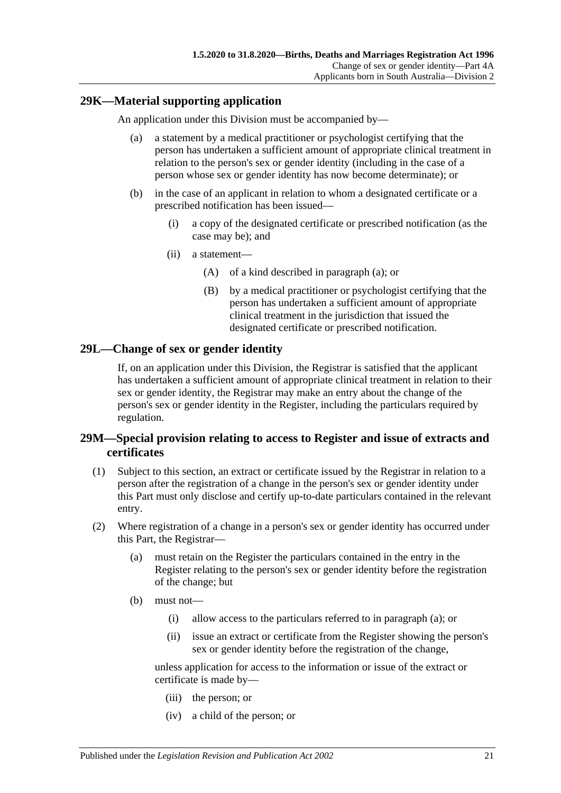## <span id="page-20-3"></span><span id="page-20-0"></span>**29K—Material supporting application**

An application under this Division must be accompanied by—

- (a) a statement by a medical practitioner or psychologist certifying that the person has undertaken a sufficient amount of appropriate clinical treatment in relation to the person's sex or gender identity (including in the case of a person whose sex or gender identity has now become determinate); or
- (b) in the case of an applicant in relation to whom a designated certificate or a prescribed notification has been issued—
	- (i) a copy of the designated certificate or prescribed notification (as the case may be); and
	- (ii) a statement—
		- (A) of a kind described in [paragraph](#page-20-3) (a); or
		- (B) by a medical practitioner or psychologist certifying that the person has undertaken a sufficient amount of appropriate clinical treatment in the jurisdiction that issued the designated certificate or prescribed notification.

## <span id="page-20-1"></span>**29L—Change of sex or gender identity**

If, on an application under this Division, the Registrar is satisfied that the applicant has undertaken a sufficient amount of appropriate clinical treatment in relation to their sex or gender identity, the Registrar may make an entry about the change of the person's sex or gender identity in the Register, including the particulars required by regulation.

## <span id="page-20-2"></span>**29M—Special provision relating to access to Register and issue of extracts and certificates**

- (1) Subject to this section, an extract or certificate issued by the Registrar in relation to a person after the registration of a change in the person's sex or gender identity under this Part must only disclose and certify up-to-date particulars contained in the relevant entry.
- <span id="page-20-4"></span>(2) Where registration of a change in a person's sex or gender identity has occurred under this Part, the Registrar—
	- (a) must retain on the Register the particulars contained in the entry in the Register relating to the person's sex or gender identity before the registration of the change; but
	- (b) must not—
		- (i) allow access to the particulars referred to in [paragraph](#page-20-4) (a); or
		- (ii) issue an extract or certificate from the Register showing the person's sex or gender identity before the registration of the change,

unless application for access to the information or issue of the extract or certificate is made by—

- (iii) the person; or
- (iv) a child of the person; or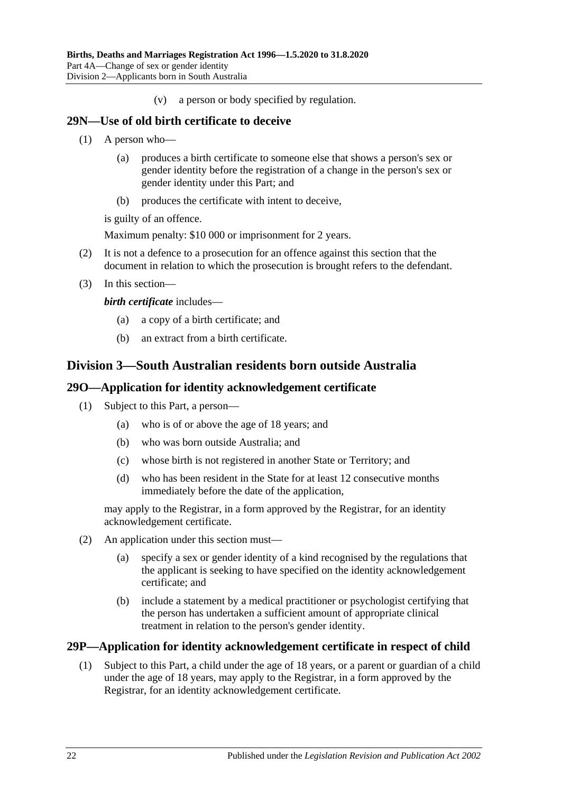(v) a person or body specified by regulation.

#### <span id="page-21-0"></span>**29N—Use of old birth certificate to deceive**

- (1) A person who—
	- (a) produces a birth certificate to someone else that shows a person's sex or gender identity before the registration of a change in the person's sex or gender identity under this Part; and
	- (b) produces the certificate with intent to deceive,

is guilty of an offence.

Maximum penalty: \$10 000 or imprisonment for 2 years.

- (2) It is not a defence to a prosecution for an offence against this section that the document in relation to which the prosecution is brought refers to the defendant.
- (3) In this section—

*birth certificate* includes—

- (a) a copy of a birth certificate; and
- (b) an extract from a birth certificate.

## <span id="page-21-1"></span>**Division 3—South Australian residents born outside Australia**

#### <span id="page-21-2"></span>**29O—Application for identity acknowledgement certificate**

- (1) Subject to this Part, a person—
	- (a) who is of or above the age of 18 years; and
	- (b) who was born outside Australia; and
	- (c) whose birth is not registered in another State or Territory; and
	- (d) who has been resident in the State for at least 12 consecutive months immediately before the date of the application,

may apply to the Registrar, in a form approved by the Registrar, for an identity acknowledgement certificate.

- (2) An application under this section must—
	- (a) specify a sex or gender identity of a kind recognised by the regulations that the applicant is seeking to have specified on the identity acknowledgement certificate; and
	- (b) include a statement by a medical practitioner or psychologist certifying that the person has undertaken a sufficient amount of appropriate clinical treatment in relation to the person's gender identity.

#### <span id="page-21-4"></span><span id="page-21-3"></span>**29P—Application for identity acknowledgement certificate in respect of child**

(1) Subject to this Part, a child under the age of 18 years, or a parent or guardian of a child under the age of 18 years, may apply to the Registrar, in a form approved by the Registrar, for an identity acknowledgement certificate.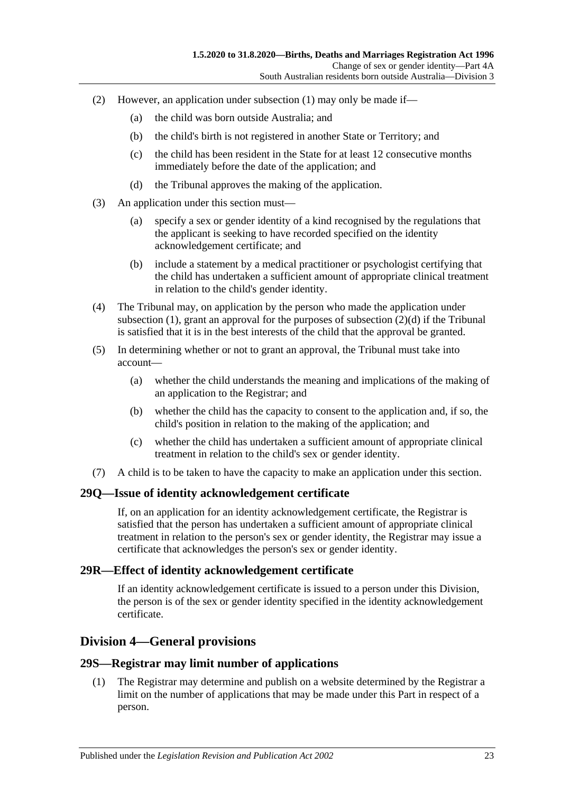- (2) However, an application under [subsection](#page-21-4) (1) may only be made if—
	- (a) the child was born outside Australia; and
	- (b) the child's birth is not registered in another State or Territory; and
	- (c) the child has been resident in the State for at least 12 consecutive months immediately before the date of the application; and
	- (d) the Tribunal approves the making of the application.
- <span id="page-22-4"></span>(3) An application under this section must—
	- (a) specify a sex or gender identity of a kind recognised by the regulations that the applicant is seeking to have recorded specified on the identity acknowledgement certificate; and
	- (b) include a statement by a medical practitioner or psychologist certifying that the child has undertaken a sufficient amount of appropriate clinical treatment in relation to the child's gender identity.
- (4) The Tribunal may, on application by the person who made the application under [subsection](#page-19-3)  $(1)$ , grant an approval for the purposes of [subsection](#page-22-4)  $(2)(d)$  if the Tribunal is satisfied that it is in the best interests of the child that the approval be granted.
- (5) In determining whether or not to grant an approval, the Tribunal must take into account—
	- (a) whether the child understands the meaning and implications of the making of an application to the Registrar; and
	- (b) whether the child has the capacity to consent to the application and, if so, the child's position in relation to the making of the application; and
	- (c) whether the child has undertaken a sufficient amount of appropriate clinical treatment in relation to the child's sex or gender identity.
- (7) A child is to be taken to have the capacity to make an application under this section.

#### <span id="page-22-0"></span>**29Q—Issue of identity acknowledgement certificate**

If, on an application for an identity acknowledgement certificate, the Registrar is satisfied that the person has undertaken a sufficient amount of appropriate clinical treatment in relation to the person's sex or gender identity, the Registrar may issue a certificate that acknowledges the person's sex or gender identity.

#### <span id="page-22-1"></span>**29R—Effect of identity acknowledgement certificate**

If an identity acknowledgement certificate is issued to a person under this Division, the person is of the sex or gender identity specified in the identity acknowledgement certificate.

## <span id="page-22-2"></span>**Division 4—General provisions**

#### <span id="page-22-3"></span>**29S—Registrar may limit number of applications**

(1) The Registrar may determine and publish on a website determined by the Registrar a limit on the number of applications that may be made under this Part in respect of a person.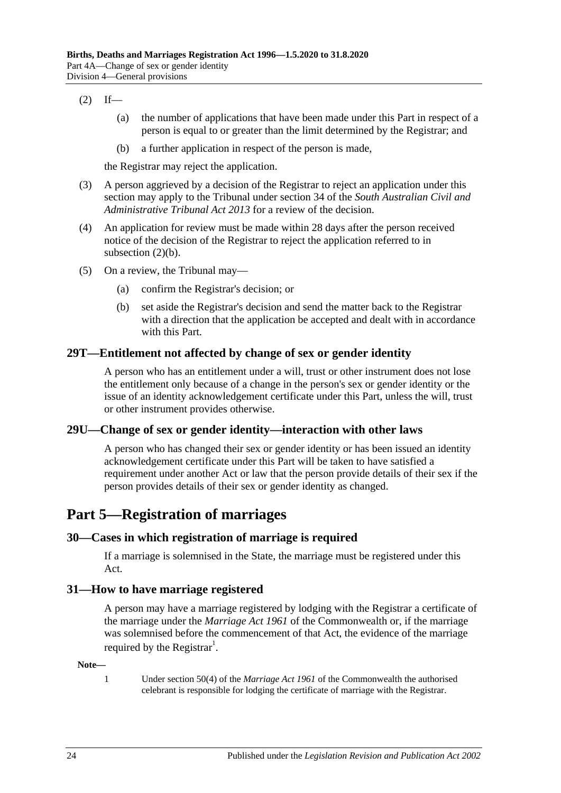#### <span id="page-23-5"></span> $(2)$  If—

- (a) the number of applications that have been made under this Part in respect of a person is equal to or greater than the limit determined by the Registrar; and
- (b) a further application in respect of the person is made,

the Registrar may reject the application.

- (3) A person aggrieved by a decision of the Registrar to reject an application under this section may apply to the Tribunal under section 34 of the *[South Australian Civil and](http://www.legislation.sa.gov.au/index.aspx?action=legref&type=act&legtitle=South%20Australian%20Civil%20and%20Administrative%20Tribunal%20Act%202013)  [Administrative Tribunal Act](http://www.legislation.sa.gov.au/index.aspx?action=legref&type=act&legtitle=South%20Australian%20Civil%20and%20Administrative%20Tribunal%20Act%202013) 2013* for a review of the decision.
- (4) An application for review must be made within 28 days after the person received notice of the decision of the Registrar to reject the application referred to in [subsection](#page-23-5)  $(2)(b)$ .
- (5) On a review, the Tribunal may—
	- (a) confirm the Registrar's decision; or
	- (b) set aside the Registrar's decision and send the matter back to the Registrar with a direction that the application be accepted and dealt with in accordance with this Part.

#### <span id="page-23-0"></span>**29T—Entitlement not affected by change of sex or gender identity**

A person who has an entitlement under a will, trust or other instrument does not lose the entitlement only because of a change in the person's sex or gender identity or the issue of an identity acknowledgement certificate under this Part, unless the will, trust or other instrument provides otherwise.

## <span id="page-23-1"></span>**29U—Change of sex or gender identity—interaction with other laws**

A person who has changed their sex or gender identity or has been issued an identity acknowledgement certificate under this Part will be taken to have satisfied a requirement under another Act or law that the person provide details of their sex if the person provides details of their sex or gender identity as changed.

# <span id="page-23-2"></span>**Part 5—Registration of marriages**

## <span id="page-23-3"></span>**30—Cases in which registration of marriage is required**

If a marriage is solemnised in the State, the marriage must be registered under this Act.

#### <span id="page-23-4"></span>**31—How to have marriage registered**

A person may have a marriage registered by lodging with the Registrar a certificate of the marriage under the *Marriage Act 1961* of the Commonwealth or, if the marriage was solemnised before the commencement of that Act, the evidence of the marriage required by the Registrar<sup>1</sup>.

#### **Note—**

1 Under section 50(4) of the *Marriage Act 1961* of the Commonwealth the authorised celebrant is responsible for lodging the certificate of marriage with the Registrar.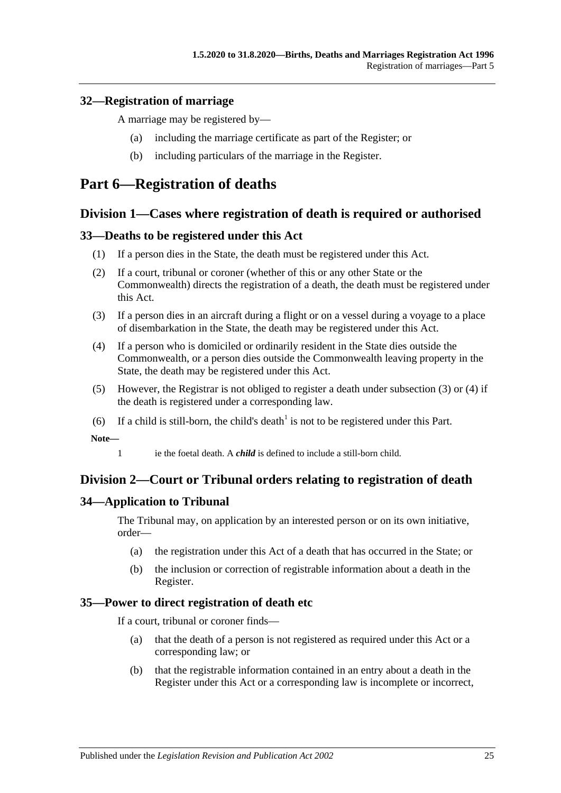## <span id="page-24-0"></span>**32—Registration of marriage**

A marriage may be registered by—

- (a) including the marriage certificate as part of the Register; or
- (b) including particulars of the marriage in the Register.

# <span id="page-24-1"></span>**Part 6—Registration of deaths**

## <span id="page-24-2"></span>**Division 1—Cases where registration of death is required or authorised**

## <span id="page-24-3"></span>**33—Deaths to be registered under this Act**

- (1) If a person dies in the State, the death must be registered under this Act.
- (2) If a court, tribunal or coroner (whether of this or any other State or the Commonwealth) directs the registration of a death, the death must be registered under this Act.
- <span id="page-24-7"></span>(3) If a person dies in an aircraft during a flight or on a vessel during a voyage to a place of disembarkation in the State, the death may be registered under this Act.
- <span id="page-24-8"></span>(4) If a person who is domiciled or ordinarily resident in the State dies outside the Commonwealth, or a person dies outside the Commonwealth leaving property in the State, the death may be registered under this Act.
- (5) However, the Registrar is not obliged to register a death under [subsection](#page-24-7) (3) or [\(4\)](#page-24-8) if the death is registered under a corresponding law.
- (6) If a child is still-born, the child's death<sup>1</sup> is not to be registered under this Part.

**Note—**

1 ie the foetal death. A *child* is defined to include a still-born child.

## <span id="page-24-4"></span>**Division 2—Court or Tribunal orders relating to registration of death**

## <span id="page-24-5"></span>**34—Application to Tribunal**

The Tribunal may, on application by an interested person or on its own initiative, order—

- (a) the registration under this Act of a death that has occurred in the State; or
- (b) the inclusion or correction of registrable information about a death in the Register.

## <span id="page-24-6"></span>**35—Power to direct registration of death etc**

If a court, tribunal or coroner finds—

- (a) that the death of a person is not registered as required under this Act or a corresponding law; or
- (b) that the registrable information contained in an entry about a death in the Register under this Act or a corresponding law is incomplete or incorrect,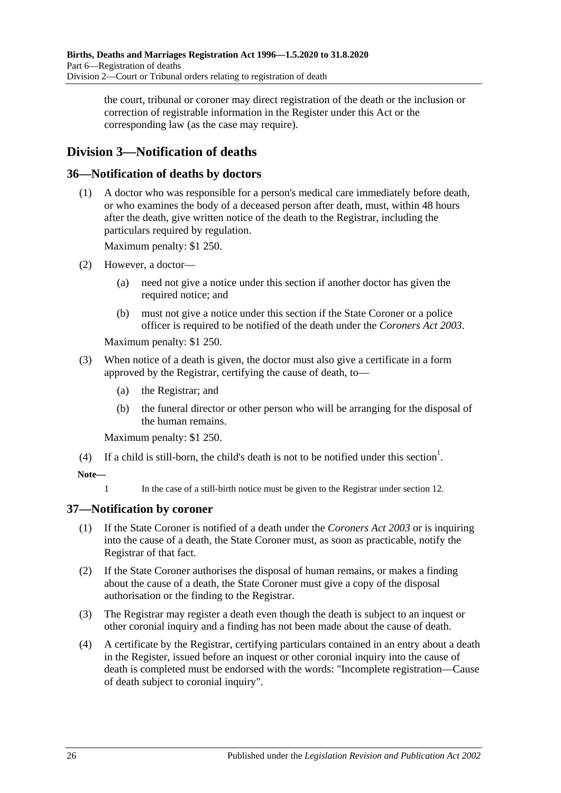the court, tribunal or coroner may direct registration of the death or the inclusion or correction of registrable information in the Register under this Act or the corresponding law (as the case may require).

# <span id="page-25-0"></span>**Division 3—Notification of deaths**

## <span id="page-25-1"></span>**36—Notification of deaths by doctors**

(1) A doctor who was responsible for a person's medical care immediately before death, or who examines the body of a deceased person after death, must, within 48 hours after the death, give written notice of the death to the Registrar, including the particulars required by regulation.

Maximum penalty: \$1 250.

- (2) However, a doctor—
	- (a) need not give a notice under this section if another doctor has given the required notice; and
	- (b) must not give a notice under this section if the State Coroner or a police officer is required to be notified of the death under the *[Coroners Act](http://www.legislation.sa.gov.au/index.aspx?action=legref&type=act&legtitle=Coroners%20Act%202003) 2003*.

Maximum penalty: \$1 250.

- (3) When notice of a death is given, the doctor must also give a certificate in a form approved by the Registrar, certifying the cause of death, to—
	- (a) the Registrar; and
	- (b) the funeral director or other person who will be arranging for the disposal of the human remains.

Maximum penalty: \$1 250.

(4) If a child is still-born, the child's death is not to be notified under this section<sup>1</sup>.

#### **Note—**

1 In the case of a still-birth notice must be given to the Registrar under [section](#page-7-2) 12.

## <span id="page-25-2"></span>**37—Notification by coroner**

- (1) If the State Coroner is notified of a death under the *[Coroners Act](http://www.legislation.sa.gov.au/index.aspx?action=legref&type=act&legtitle=Coroners%20Act%202003) 2003* or is inquiring into the cause of a death, the State Coroner must, as soon as practicable, notify the Registrar of that fact.
- (2) If the State Coroner authorises the disposal of human remains, or makes a finding about the cause of a death, the State Coroner must give a copy of the disposal authorisation or the finding to the Registrar.
- (3) The Registrar may register a death even though the death is subject to an inquest or other coronial inquiry and a finding has not been made about the cause of death.
- (4) A certificate by the Registrar, certifying particulars contained in an entry about a death in the Register, issued before an inquest or other coronial inquiry into the cause of death is completed must be endorsed with the words: "Incomplete registration—Cause of death subject to coronial inquiry".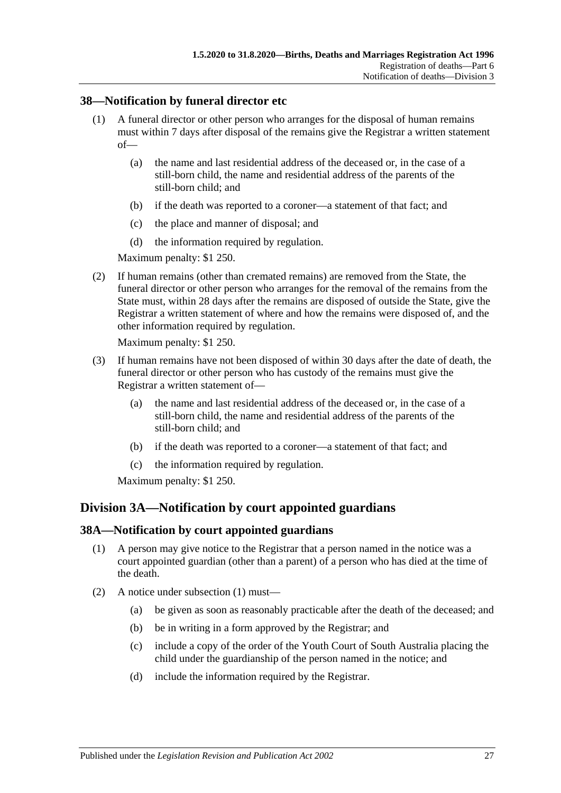## <span id="page-26-0"></span>**38—Notification by funeral director etc**

- (1) A funeral director or other person who arranges for the disposal of human remains must within 7 days after disposal of the remains give the Registrar a written statement of—
	- (a) the name and last residential address of the deceased or, in the case of a still-born child, the name and residential address of the parents of the still-born child; and
	- (b) if the death was reported to a coroner—a statement of that fact; and
	- (c) the place and manner of disposal; and
	- (d) the information required by regulation.

Maximum penalty: \$1 250.

(2) If human remains (other than cremated remains) are removed from the State, the funeral director or other person who arranges for the removal of the remains from the State must, within 28 days after the remains are disposed of outside the State, give the Registrar a written statement of where and how the remains were disposed of, and the other information required by regulation.

Maximum penalty: \$1 250.

- (3) If human remains have not been disposed of within 30 days after the date of death, the funeral director or other person who has custody of the remains must give the Registrar a written statement of—
	- (a) the name and last residential address of the deceased or, in the case of a still-born child, the name and residential address of the parents of the still-born child; and
	- (b) if the death was reported to a coroner—a statement of that fact; and
	- (c) the information required by regulation.

Maximum penalty: \$1 250.

## <span id="page-26-1"></span>**Division 3A—Notification by court appointed guardians**

## <span id="page-26-3"></span><span id="page-26-2"></span>**38A—Notification by court appointed guardians**

- (1) A person may give notice to the Registrar that a person named in the notice was a court appointed guardian (other than a parent) of a person who has died at the time of the death.
- (2) A notice under [subsection](#page-26-3) (1) must—
	- (a) be given as soon as reasonably practicable after the death of the deceased; and
	- (b) be in writing in a form approved by the Registrar; and
	- (c) include a copy of the order of the Youth Court of South Australia placing the child under the guardianship of the person named in the notice; and
	- (d) include the information required by the Registrar.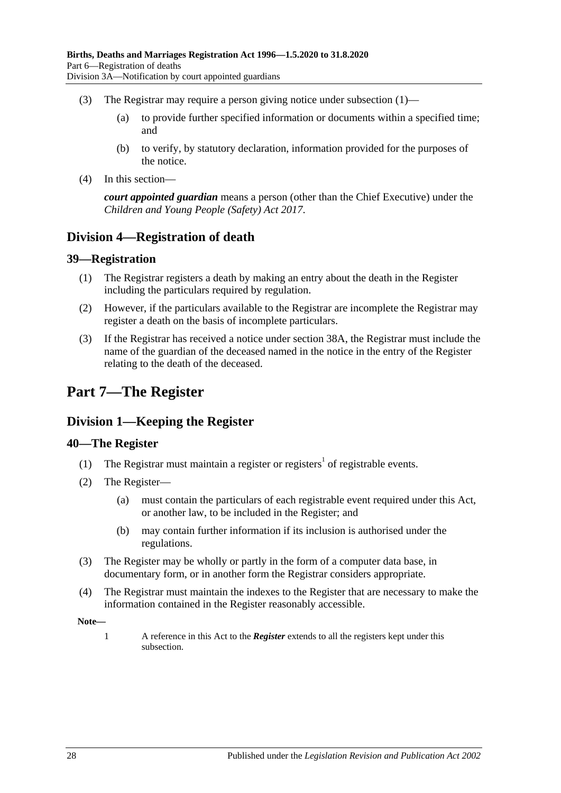- (3) The Registrar may require a person giving notice under [subsection](#page-26-3)  $(1)$ 
	- (a) to provide further specified information or documents within a specified time; and
	- (b) to verify, by statutory declaration, information provided for the purposes of the notice.
- (4) In this section—

*court appointed guardian* means a person (other than the Chief Executive) under the *[Children and Young People \(Safety\) Act](http://www.legislation.sa.gov.au/index.aspx?action=legref&type=act&legtitle=Children%20and%20Young%20People%20(Safety)%20Act%202017) 2017*.

## <span id="page-27-0"></span>**Division 4—Registration of death**

#### <span id="page-27-1"></span>**39—Registration**

- (1) The Registrar registers a death by making an entry about the death in the Register including the particulars required by regulation.
- (2) However, if the particulars available to the Registrar are incomplete the Registrar may register a death on the basis of incomplete particulars.
- (3) If the Registrar has received a notice under [section](#page-26-2) 38A, the Registrar must include the name of the guardian of the deceased named in the notice in the entry of the Register relating to the death of the deceased.

# <span id="page-27-2"></span>**Part 7—The Register**

## <span id="page-27-3"></span>**Division 1—Keeping the Register**

## <span id="page-27-4"></span>**40—The Register**

- (1) The Registrar must maintain a register or registers<sup>1</sup> of registrable events.
- <span id="page-27-5"></span>(2) The Register—
	- (a) must contain the particulars of each registrable event required under this Act, or another law, to be included in the Register; and
	- (b) may contain further information if its inclusion is authorised under the regulations.
- (3) The Register may be wholly or partly in the form of a computer data base, in documentary form, or in another form the Registrar considers appropriate.
- (4) The Registrar must maintain the indexes to the Register that are necessary to make the information contained in the Register reasonably accessible.

**Note—**

1 A reference in this Act to the *Register* extends to all the registers kept under this subsection.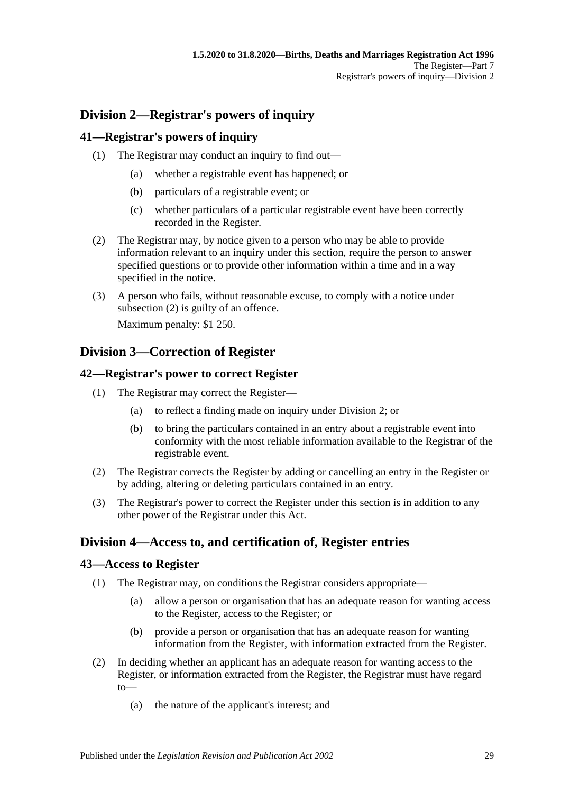# <span id="page-28-0"></span>**Division 2—Registrar's powers of inquiry**

## <span id="page-28-1"></span>**41—Registrar's powers of inquiry**

- (1) The Registrar may conduct an inquiry to find out—
	- (a) whether a registrable event has happened; or
	- (b) particulars of a registrable event; or
	- (c) whether particulars of a particular registrable event have been correctly recorded in the Register.
- <span id="page-28-6"></span>(2) The Registrar may, by notice given to a person who may be able to provide information relevant to an inquiry under this section, require the person to answer specified questions or to provide other information within a time and in a way specified in the notice.
- (3) A person who fails, without reasonable excuse, to comply with a notice under [subsection](#page-28-6) (2) is guilty of an offence.

Maximum penalty: \$1 250.

## <span id="page-28-2"></span>**Division 3—Correction of Register**

## <span id="page-28-3"></span>**42—Registrar's power to correct Register**

- (1) The Registrar may correct the Register—
	- (a) to reflect a finding made on inquiry under [Division 2;](#page-28-0) or
	- (b) to bring the particulars contained in an entry about a registrable event into conformity with the most reliable information available to the Registrar of the registrable event.
- (2) The Registrar corrects the Register by adding or cancelling an entry in the Register or by adding, altering or deleting particulars contained in an entry.
- (3) The Registrar's power to correct the Register under this section is in addition to any other power of the Registrar under this Act.

## <span id="page-28-4"></span>**Division 4—Access to, and certification of, Register entries**

## <span id="page-28-5"></span>**43—Access to Register**

- (1) The Registrar may, on conditions the Registrar considers appropriate—
	- (a) allow a person or organisation that has an adequate reason for wanting access to the Register, access to the Register; or
	- (b) provide a person or organisation that has an adequate reason for wanting information from the Register, with information extracted from the Register.
- (2) In deciding whether an applicant has an adequate reason for wanting access to the Register, or information extracted from the Register, the Registrar must have regard to—
	- (a) the nature of the applicant's interest; and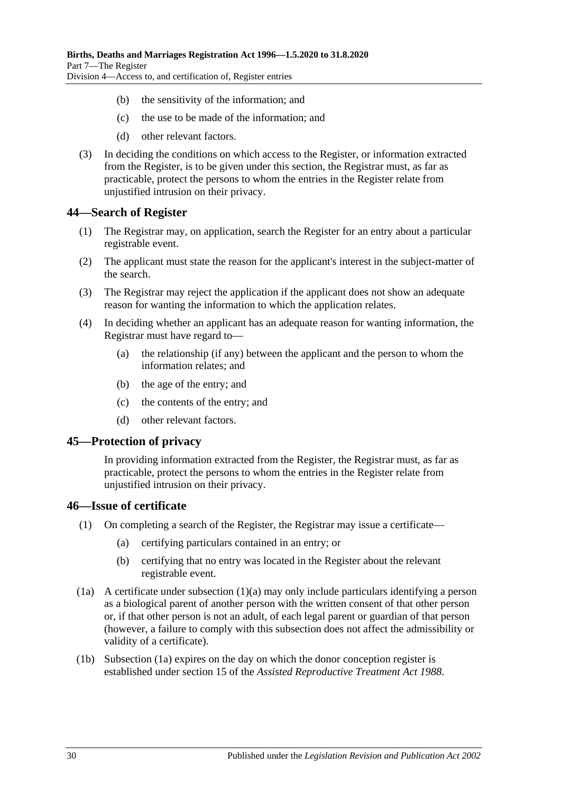- (b) the sensitivity of the information; and
- (c) the use to be made of the information; and
- (d) other relevant factors.
- (3) In deciding the conditions on which access to the Register, or information extracted from the Register, is to be given under this section, the Registrar must, as far as practicable, protect the persons to whom the entries in the Register relate from unjustified intrusion on their privacy.

#### <span id="page-29-0"></span>**44—Search of Register**

- (1) The Registrar may, on application, search the Register for an entry about a particular registrable event.
- (2) The applicant must state the reason for the applicant's interest in the subject-matter of the search.
- (3) The Registrar may reject the application if the applicant does not show an adequate reason for wanting the information to which the application relates.
- (4) In deciding whether an applicant has an adequate reason for wanting information, the Registrar must have regard to—
	- (a) the relationship (if any) between the applicant and the person to whom the information relates; and
	- (b) the age of the entry; and
	- (c) the contents of the entry; and
	- (d) other relevant factors.

#### <span id="page-29-1"></span>**45—Protection of privacy**

In providing information extracted from the Register, the Registrar must, as far as practicable, protect the persons to whom the entries in the Register relate from unjustified intrusion on their privacy.

#### <span id="page-29-2"></span>**46—Issue of certificate**

- <span id="page-29-3"></span>(1) On completing a search of the Register, the Registrar may issue a certificate—
	- (a) certifying particulars contained in an entry; or
	- (b) certifying that no entry was located in the Register about the relevant registrable event.
- <span id="page-29-4"></span>(1a) A certificate under [subsection](#page-29-3) (1)(a) may only include particulars identifying a person as a biological parent of another person with the written consent of that other person or, if that other person is not an adult, of each legal parent or guardian of that person (however, a failure to comply with this subsection does not affect the admissibility or validity of a certificate).
- (1b) [Subsection](#page-29-4) (1a) expires on the day on which the donor conception register is established under section 15 of the *[Assisted Reproductive Treatment Act](http://www.legislation.sa.gov.au/index.aspx?action=legref&type=act&legtitle=Assisted%20Reproductive%20Treatment%20Act%201988) 1988*.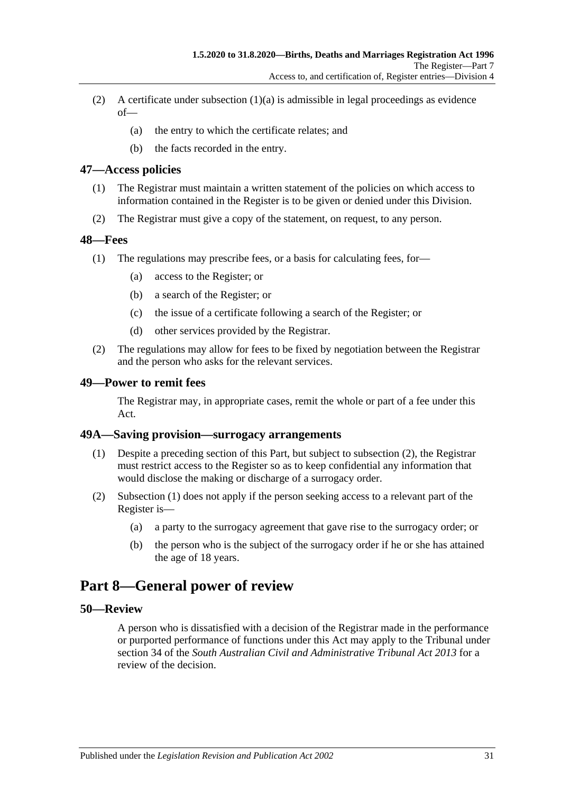- (2) A certificate under [subsection](#page-29-3)  $(1)(a)$  is admissible in legal proceedings as evidence  $of$ —
	- (a) the entry to which the certificate relates; and
	- (b) the facts recorded in the entry.

#### <span id="page-30-0"></span>**47—Access policies**

- (1) The Registrar must maintain a written statement of the policies on which access to information contained in the Register is to be given or denied under this Division.
- (2) The Registrar must give a copy of the statement, on request, to any person.

#### <span id="page-30-1"></span>**48—Fees**

- (1) The regulations may prescribe fees, or a basis for calculating fees, for—
	- (a) access to the Register; or
	- (b) a search of the Register; or
	- (c) the issue of a certificate following a search of the Register; or
	- (d) other services provided by the Registrar.
- (2) The regulations may allow for fees to be fixed by negotiation between the Registrar and the person who asks for the relevant services.

#### <span id="page-30-2"></span>**49—Power to remit fees**

The Registrar may, in appropriate cases, remit the whole or part of a fee under this Act.

#### <span id="page-30-7"></span><span id="page-30-3"></span>**49A—Saving provision—surrogacy arrangements**

- (1) Despite a preceding section of this Part, but subject to [subsection](#page-30-6) (2), the Registrar must restrict access to the Register so as to keep confidential any information that would disclose the making or discharge of a surrogacy order.
- <span id="page-30-6"></span>(2) [Subsection](#page-30-7) (1) does not apply if the person seeking access to a relevant part of the Register is—
	- (a) a party to the surrogacy agreement that gave rise to the surrogacy order; or
	- (b) the person who is the subject of the surrogacy order if he or she has attained the age of 18 years.

# <span id="page-30-4"></span>**Part 8—General power of review**

#### <span id="page-30-5"></span>**50—Review**

A person who is dissatisfied with a decision of the Registrar made in the performance or purported performance of functions under this Act may apply to the Tribunal under section 34 of the *[South Australian Civil and Administrative Tribunal Act](http://www.legislation.sa.gov.au/index.aspx?action=legref&type=act&legtitle=South%20Australian%20Civil%20and%20Administrative%20Tribunal%20Act%202013) 2013* for a review of the decision.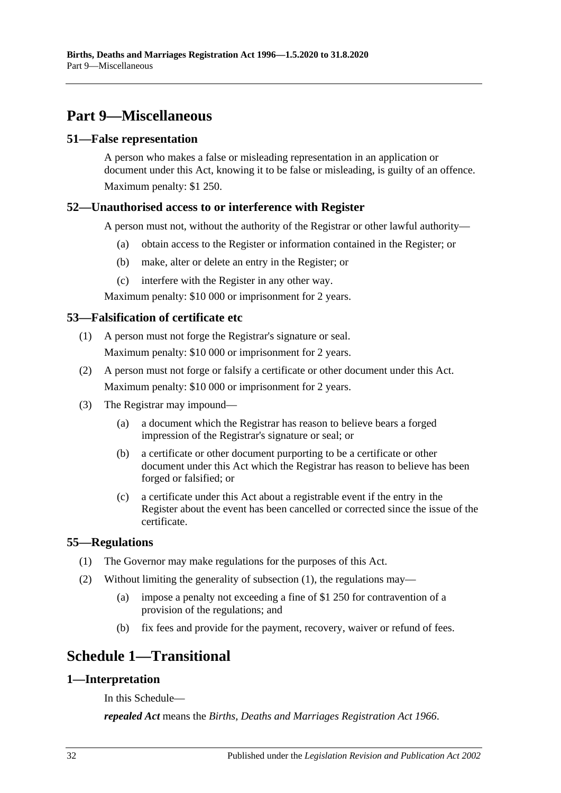# <span id="page-31-0"></span>**Part 9—Miscellaneous**

#### <span id="page-31-1"></span>**51—False representation**

A person who makes a false or misleading representation in an application or document under this Act, knowing it to be false or misleading, is guilty of an offence. Maximum penalty: \$1 250.

## <span id="page-31-2"></span>**52—Unauthorised access to or interference with Register**

A person must not, without the authority of the Registrar or other lawful authority—

- (a) obtain access to the Register or information contained in the Register; or
- (b) make, alter or delete an entry in the Register; or
- (c) interfere with the Register in any other way.

Maximum penalty: \$10 000 or imprisonment for 2 years.

## <span id="page-31-3"></span>**53—Falsification of certificate etc**

- (1) A person must not forge the Registrar's signature or seal. Maximum penalty: \$10 000 or imprisonment for 2 years.
- (2) A person must not forge or falsify a certificate or other document under this Act. Maximum penalty: \$10 000 or imprisonment for 2 years.
- (3) The Registrar may impound—
	- (a) a document which the Registrar has reason to believe bears a forged impression of the Registrar's signature or seal; or
	- (b) a certificate or other document purporting to be a certificate or other document under this Act which the Registrar has reason to believe has been forged or falsified; or
	- (c) a certificate under this Act about a registrable event if the entry in the Register about the event has been cancelled or corrected since the issue of the certificate.

## <span id="page-31-7"></span><span id="page-31-4"></span>**55—Regulations**

- (1) The Governor may make regulations for the purposes of this Act.
- (2) Without limiting the generality of [subsection](#page-31-7) (1), the regulations may—
	- (a) impose a penalty not exceeding a fine of \$1 250 for contravention of a provision of the regulations; and
	- (b) fix fees and provide for the payment, recovery, waiver or refund of fees.

# <span id="page-31-5"></span>**Schedule 1—Transitional**

## <span id="page-31-6"></span>**1—Interpretation**

In this Schedule—

*repealed Act* means the *[Births, Deaths and Marriages Registration Act](http://www.legislation.sa.gov.au/index.aspx?action=legref&type=act&legtitle=Births%20Deaths%20and%20Marriages%20Registration%20Act%201966) 1966*.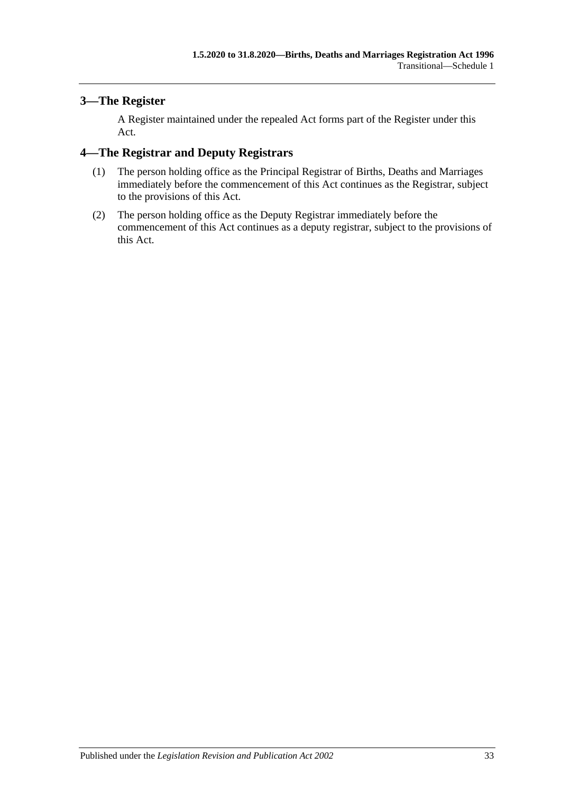## <span id="page-32-0"></span>**3—The Register**

A Register maintained under the repealed Act forms part of the Register under this Act.

# <span id="page-32-1"></span>**4—The Registrar and Deputy Registrars**

- (1) The person holding office as the Principal Registrar of Births, Deaths and Marriages immediately before the commencement of this Act continues as the Registrar, subject to the provisions of this Act.
- (2) The person holding office as the Deputy Registrar immediately before the commencement of this Act continues as a deputy registrar, subject to the provisions of this Act.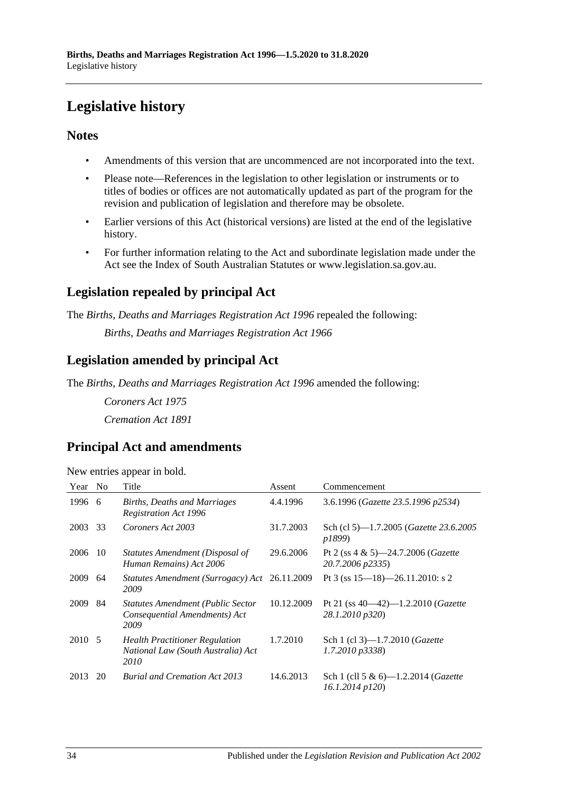# <span id="page-33-0"></span>**Legislative history**

## **Notes**

- Amendments of this version that are uncommenced are not incorporated into the text.
- Please note—References in the legislation to other legislation or instruments or to titles of bodies or offices are not automatically updated as part of the program for the revision and publication of legislation and therefore may be obsolete.
- Earlier versions of this Act (historical versions) are listed at the end of the legislative history.
- For further information relating to the Act and subordinate legislation made under the Act see the Index of South Australian Statutes or www.legislation.sa.gov.au.

# **Legislation repealed by principal Act**

The *Births, Deaths and Marriages Registration Act 1996* repealed the following:

*Births, Deaths and Marriages Registration Act 1966*

# **Legislation amended by principal Act**

The *Births, Deaths and Marriages Registration Act 1996* amended the following:

*Coroners Act 1975 Cremation Act 1891*

# **Principal Act and amendments**

| New entries appear in bold. |  |  |  |  |  |
|-----------------------------|--|--|--|--|--|
|-----------------------------|--|--|--|--|--|

| Year   | N <sub>o</sub> | Title                                                                               | Assent     | Commencement                                                       |
|--------|----------------|-------------------------------------------------------------------------------------|------------|--------------------------------------------------------------------|
| 1996   | -6             | Births, Deaths and Marriages<br><b>Registration Act 1996</b>                        | 4.4.1996   | 3.6.1996 (Gazette 23.5.1996 p2534)                                 |
| 2003   | 33             | Coroners Act 2003                                                                   | 31.7.2003  | Sch (cl 5)—1.7.2005 ( <i>Gazette</i> 23.6.2005<br>p1899)           |
| 2006   | -10            | Statutes Amendment (Disposal of<br>Human Remains) Act 2006                          | 29.6.2006  | Pt 2 (ss 4 & 5)-24.7.2006 (Gazette<br>20.7.2006 p2335)             |
| 2009   | 64             | Statutes Amendment (Surrogacy) Act<br>2009                                          | 26.11.2009 | Pt 3 (ss $15 - 18$ ) - 26.11.2010: s 2                             |
| 2009   | 84             | <b>Statutes Amendment (Public Sector</b><br>Consequential Amendments) Act<br>2009   | 10.12.2009 | Pt 21 (ss $40-42$ )-1.2.2010 ( <i>Gazette</i><br>28.1.2010 p320)   |
| 2010 5 |                | <b>Health Practitioner Regulation</b><br>National Law (South Australia) Act<br>2010 | 1.7.2010   | Sch 1 (cl 3)-1.7.2010 ( <i>Gazette</i><br>$1.7.2010 \text{ p}3338$ |
| 2013   | 20             | <b>Burial and Cremation Act 2013</b>                                                | 14.6.2013  | Sch 1 (cll 5 & 6)-1.2.2014 (Gazette<br>16.1.2014 p120)             |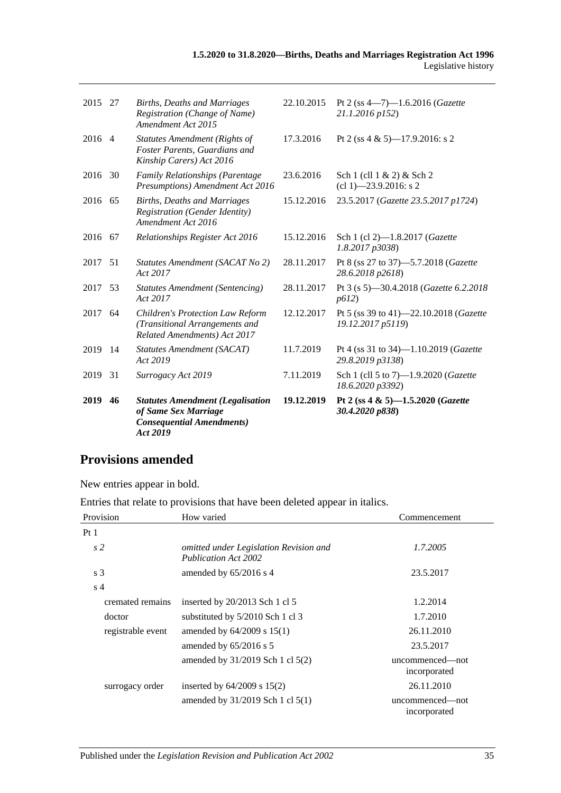| 2019    | 46  | <b>Statutes Amendment (Legalisation</b><br>of Same Sex Marriage<br><b>Consequential Amendments)</b><br>Act 2019 | 19.12.2019 | Pt 2 (ss 4 & 5)-1.5.2020 (Gazette<br>30.4.2020 p838)        |
|---------|-----|-----------------------------------------------------------------------------------------------------------------|------------|-------------------------------------------------------------|
| 2019    | 31  | Surrogacy Act 2019                                                                                              | 7.11.2019  | Sch 1 (cll 5 to 7)-1.9.2020 (Gazette<br>18.6.2020 p3392)    |
| 2019    | -14 | <b>Statutes Amendment (SACAT)</b><br>Act 2019                                                                   | 11.7.2019  | Pt 4 (ss 31 to 34)-1.10.2019 (Gazette<br>29.8.2019 p3138)   |
| 2017    | 64  | <b>Children's Protection Law Reform</b><br>(Transitional Arrangements and<br>Related Amendments) Act 2017       | 12.12.2017 | Pt 5 (ss 39 to 41)-22.10.2018 (Gazette<br>19.12.2017 p5119) |
| 2017    | -53 | <b>Statutes Amendment (Sentencing)</b><br>Act 2017                                                              | 28.11.2017 | Pt 3 (s 5)-30.4.2018 (Gazette 6.2.2018<br>p612)             |
| 2017    | 51  | Statutes Amendment (SACAT No 2)<br>Act 2017                                                                     | 28.11.2017 | Pt 8 (ss 27 to 37)-5.7.2018 (Gazette<br>28.6.2018 p2618)    |
| 2016 67 |     | Relationships Register Act 2016                                                                                 | 15.12.2016 | Sch 1 (cl 2)-1.8.2017 (Gazette<br>1.8.2017p3038             |
| 2016 65 |     | <b>Births, Deaths and Marriages</b><br><b>Registration (Gender Identity)</b><br>Amendment Act 2016              | 15.12.2016 | 23.5.2017 (Gazette 23.5.2017 p1724)                         |
| 2016    | 30  | Family Relationships (Parentage<br>Presumptions) Amendment Act 2016                                             | 23.6.2016  | Sch 1 (cll 1 & 2) & Sch 2<br>$cl$ 1) -23.9.2016: s 2        |
| 2016 4  |     | <b>Statutes Amendment (Rights of</b><br>Foster Parents, Guardians and<br>Kinship Carers) Act 2016               | 17.3.2016  | Pt 2 (ss 4 & 5)-17.9.2016: s 2                              |
| 2015 27 |     | Births, Deaths and Marriages<br>Registration (Change of Name)<br><b>Amendment Act 2015</b>                      | 22.10.2015 | Pt 2 (ss $4 - 7$ )-1.6.2016 (Gazette<br>21.1.2016 p152)     |
|         |     |                                                                                                                 |            |                                                             |

# **Provisions amended**

New entries appear in bold.

Entries that relate to provisions that have been deleted appear in italics.

| Provision         | How varied                                                     | Commencement                    |
|-------------------|----------------------------------------------------------------|---------------------------------|
| Pt <sub>1</sub>   |                                                                |                                 |
| s2                | omitted under Legislation Revision and<br>Publication Act 2002 | 1.7.2005                        |
| s <sub>3</sub>    | amended by $65/2016$ s 4                                       | 23.5.2017                       |
| s <sub>4</sub>    |                                                                |                                 |
| cremated remains  | inserted by $20/2013$ Sch 1 cl 5                               | 1.2.2014                        |
| doctor            | substituted by 5/2010 Sch 1 cl 3                               | 1.7.2010                        |
| registrable event | amended by $64/2009$ s $15(1)$                                 | 26.11.2010                      |
|                   | amended by $65/2016$ s 5                                       | 23.5.2017                       |
|                   | amended by 31/2019 Sch 1 cl 5(2)                               | uncommenced—not<br>incorporated |
| surrogacy order   | inserted by $64/2009$ s $15(2)$                                | 26.11.2010                      |
|                   | amended by 31/2019 Sch 1 cl 5(1)                               | uncommenced—not<br>incorporated |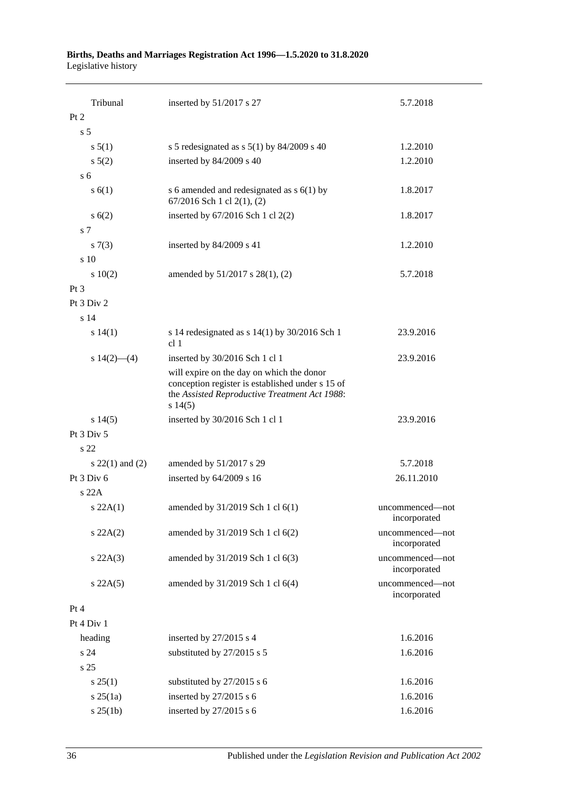#### **Births, Deaths and Marriages Registration Act 1996—1.5.2020 to 31.8.2020** Legislative history

| Tribunal                          | inserted by 51/2017 s 27                                                                                                                                  | 5.7.2018                        |
|-----------------------------------|-----------------------------------------------------------------------------------------------------------------------------------------------------------|---------------------------------|
| Pt 2                              |                                                                                                                                                           |                                 |
| s <sub>5</sub>                    |                                                                                                                                                           |                                 |
| s 5(1)                            | s 5 redesignated as s $5(1)$ by $84/2009$ s 40                                                                                                            | 1.2.2010                        |
| $s\ 5(2)$                         | inserted by 84/2009 s 40                                                                                                                                  | 1.2.2010                        |
| s <sub>6</sub>                    |                                                                                                                                                           |                                 |
| s(6(1))                           | s 6 amended and redesignated as $s$ 6(1) by<br>67/2016 Sch 1 cl 2(1), (2)                                                                                 | 1.8.2017                        |
| s(6(2))                           | inserted by 67/2016 Sch 1 cl 2(2)                                                                                                                         | 1.8.2017                        |
| s <sub>7</sub>                    |                                                                                                                                                           |                                 |
| $s \, 7(3)$                       | inserted by 84/2009 s 41                                                                                                                                  | 1.2.2010                        |
| s 10                              |                                                                                                                                                           |                                 |
| 10(2)                             | amended by 51/2017 s 28(1), (2)                                                                                                                           | 5.7.2018                        |
| Pt <sub>3</sub>                   |                                                                                                                                                           |                                 |
| Pt 3 Div 2                        |                                                                                                                                                           |                                 |
| s 14                              |                                                                                                                                                           |                                 |
| s 14(1)                           | s 14 redesignated as s $14(1)$ by $30/2016$ Sch 1<br>cl 1                                                                                                 | 23.9.2016                       |
| s $14(2)$ — $(4)$                 | inserted by 30/2016 Sch 1 cl 1                                                                                                                            | 23.9.2016                       |
|                                   | will expire on the day on which the donor<br>conception register is established under s 15 of<br>the Assisted Reproductive Treatment Act 1988:<br>s 14(5) |                                 |
| $s\ 14(5)$                        | inserted by 30/2016 Sch 1 cl 1                                                                                                                            | 23.9.2016                       |
| Pt 3 Div 5<br>s 22                |                                                                                                                                                           |                                 |
|                                   |                                                                                                                                                           |                                 |
| s $22(1)$ and $(2)$<br>Pt 3 Div 6 | amended by 51/2017 s 29                                                                                                                                   | 5.7.2018                        |
|                                   | inserted by 64/2009 s 16                                                                                                                                  | 26.11.2010                      |
| s22A                              |                                                                                                                                                           |                                 |
| s 22A(1)                          | amended by 31/2019 Sch 1 cl 6(1)                                                                                                                          | uncommenced—not<br>incorporated |
| $s\,22A(2)$                       | amended by 31/2019 Sch 1 cl 6(2)                                                                                                                          | uncommenced-not<br>incorporated |
| $s$ 22A(3)                        | amended by 31/2019 Sch 1 cl 6(3)                                                                                                                          | uncommenced-not<br>incorporated |
| $s$ 22A(5)                        | amended by 31/2019 Sch 1 cl 6(4)                                                                                                                          | uncommenced-not<br>incorporated |
| Pt 4                              |                                                                                                                                                           |                                 |
| Pt 4 Div 1                        |                                                                                                                                                           |                                 |
| heading                           | inserted by 27/2015 s 4                                                                                                                                   | 1.6.2016                        |
| s24                               | substituted by 27/2015 s 5                                                                                                                                | 1.6.2016                        |
| s 25                              |                                                                                                                                                           |                                 |
| $s \, 25(1)$                      | substituted by 27/2015 s 6                                                                                                                                | 1.6.2016                        |
| $s \, 25(1a)$                     | inserted by 27/2015 s 6                                                                                                                                   | 1.6.2016                        |
| $s \, 25(1b)$                     | inserted by 27/2015 s 6                                                                                                                                   | 1.6.2016                        |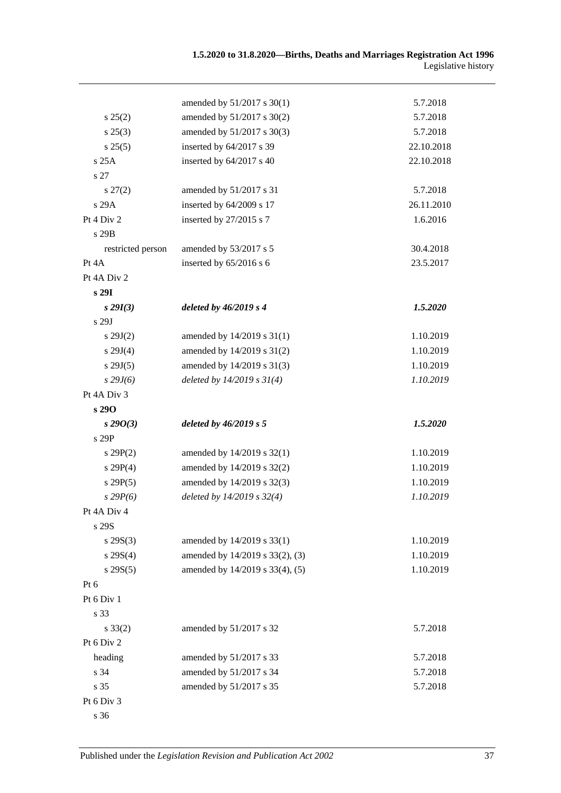|                   | amended by 51/2017 s 30(1)      | 5.7.2018   |
|-------------------|---------------------------------|------------|
| s 25(2)           | amended by 51/2017 s 30(2)      | 5.7.2018   |
| s 25(3)           | amended by 51/2017 s 30(3)      | 5.7.2018   |
| s 25(5)           | inserted by 64/2017 s 39        | 22.10.2018 |
| s 25A             | inserted by 64/2017 s 40        | 22.10.2018 |
| s 27              |                                 |            |
| $s\,27(2)$        | amended by 51/2017 s 31         | 5.7.2018   |
| s 29A             | inserted by 64/2009 s 17        | 26.11.2010 |
| Pt $4$ Div $2$    | inserted by 27/2015 s 7         | 1.6.2016   |
| s 29B             |                                 |            |
| restricted person | amended by 53/2017 s 5          | 30.4.2018  |
| Pt 4A             | inserted by 65/2016 s 6         | 23.5.2017  |
| Pt 4A Div 2       |                                 |            |
| s 29I             |                                 |            |
| $s\,29I(3)$       | deleted by $46/2019 s 4$        | 1.5.2020   |
| s 29J             |                                 |            |
| $s\,29J(2)$       | amended by 14/2019 s 31(1)      | 1.10.2019  |
| s 29J(4)          | amended by 14/2019 s 31(2)      | 1.10.2019  |
| s 29J(5)          | amended by 14/2019 s 31(3)      | 1.10.2019  |
| $s$ 29 $J(6)$     | deleted by $14/2019 s 31(4)$    | 1.10.2019  |
| Pt 4A Div 3       |                                 |            |
| s 290             |                                 |            |
| $s\,29O(3)$       | deleted by $46/2019 s 5$        | 1.5.2020   |
| s 29P             |                                 |            |
| s 29P(2)          | amended by 14/2019 s 32(1)      | 1.10.2019  |
| s 29P(4)          | amended by 14/2019 s 32(2)      | 1.10.2019  |
| s 29P(5)          | amended by 14/2019 s 32(3)      | 1.10.2019  |
| $s$ 29 $P(6)$     | deleted by 14/2019 s 32(4)      | 1.10.2019  |
| Pt 4A Div 4       |                                 |            |
| s 29S             |                                 |            |
| $s \, 29S(3)$     | amended by 14/2019 s 33(1)      | 1.10.2019  |
| $s \, 29S(4)$     | amended by 14/2019 s 33(2), (3) | 1.10.2019  |
| $s$ 29S(5)        | amended by 14/2019 s 33(4), (5) | 1.10.2019  |
| $Pt\ 6$           |                                 |            |
| Pt 6 Div 1        |                                 |            |
| s 33              |                                 |            |
| $s \, 33(2)$      | amended by 51/2017 s 32         | 5.7.2018   |
| Pt 6 Div 2        |                                 |            |
| heading           | amended by 51/2017 s 33         | 5.7.2018   |
| s 34              | amended by 51/2017 s 34         | 5.7.2018   |
| s 35              | amended by 51/2017 s 35         | 5.7.2018   |
| Pt 6 Div 3        |                                 |            |
|                   |                                 |            |

s 36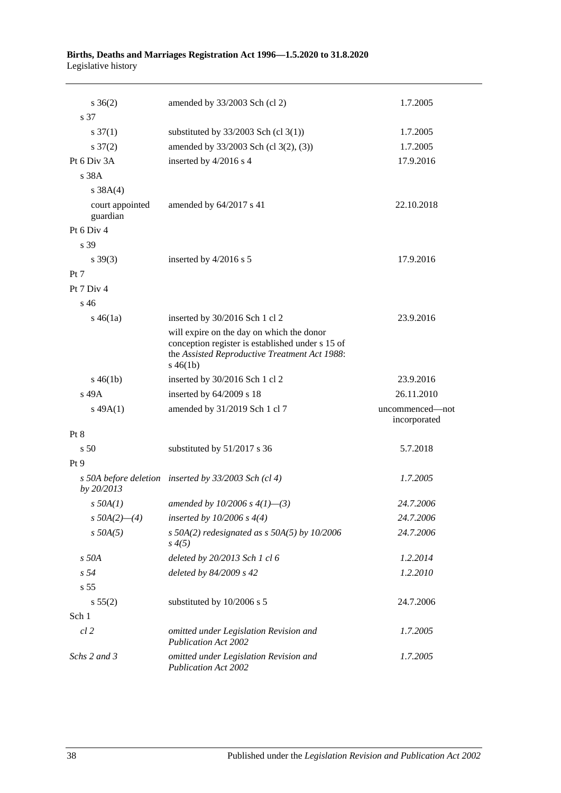#### **Births, Deaths and Marriages Registration Act 1996—1.5.2020 to 31.8.2020** Legislative history

| $s \; 36(2)$                | amended by 33/2003 Sch (cl 2)                                                                                                                                 | 1.7.2005                        |
|-----------------------------|---------------------------------------------------------------------------------------------------------------------------------------------------------------|---------------------------------|
| s 37                        |                                                                                                                                                               |                                 |
| $s \frac{37(1)}{2}$         | substituted by $33/2003$ Sch (cl 3(1))                                                                                                                        | 1.7.2005                        |
| $s \frac{37(2)}{2}$         | amended by 33/2003 Sch (cl 3(2), (3))                                                                                                                         | 1.7.2005                        |
| Pt 6 Div 3A                 | inserted by 4/2016 s 4                                                                                                                                        | 17.9.2016                       |
| s 38A                       |                                                                                                                                                               |                                 |
| s 38A(4)                    |                                                                                                                                                               |                                 |
| court appointed<br>guardian | amended by 64/2017 s 41                                                                                                                                       | 22.10.2018                      |
| Pt 6 Div 4                  |                                                                                                                                                               |                                 |
| s 39                        |                                                                                                                                                               |                                 |
| $s \, 39(3)$                | inserted by 4/2016 s 5                                                                                                                                        | 17.9.2016                       |
| Pt 7                        |                                                                                                                                                               |                                 |
| Pt $7$ Div $4$              |                                                                                                                                                               |                                 |
| $s\,46$                     |                                                                                                                                                               |                                 |
| $s\,46(1a)$                 | inserted by 30/2016 Sch 1 cl 2                                                                                                                                | 23.9.2016                       |
|                             | will expire on the day on which the donor<br>conception register is established under s 15 of<br>the Assisted Reproductive Treatment Act 1988:<br>$s\,46(1b)$ |                                 |
| $s\,46(1b)$                 | inserted by 30/2016 Sch 1 cl 2                                                                                                                                | 23.9.2016                       |
| s 49A                       | inserted by $64/2009$ s 18                                                                                                                                    | 26.11.2010                      |
| $s\,49A(1)$                 | amended by 31/2019 Sch 1 cl 7                                                                                                                                 | uncommenced-not<br>incorporated |
| Pt 8                        |                                                                                                                                                               |                                 |
| s <sub>50</sub>             | substituted by 51/2017 s 36                                                                                                                                   | 5.7.2018                        |
| Pt <sub>9</sub>             |                                                                                                                                                               |                                 |
| by 20/2013                  | s 50A before deletion inserted by 33/2003 Sch (cl 4)                                                                                                          | 1.7.2005                        |
| $s$ 50A(1)                  | amended by 10/2006 s $4(1)$ —(3)                                                                                                                              | 24.7.2006                       |
| $s$ 50A(2)–(4)              | inserted by $10/2006 s 4(4)$                                                                                                                                  | 24.7.2006                       |
| $s$ 50A(5)                  | s $50A(2)$ redesignated as s $50A(5)$ by $10/2006$<br>$s \, 4(5)$                                                                                             | 24.7.2006                       |
| $s$ 50 $A$                  | deleted by 20/2013 Sch 1 cl 6                                                                                                                                 | 1.2.2014                        |
| s <sub>54</sub>             | deleted by 84/2009 s 42                                                                                                                                       | 1.2.2010                        |
| s <sub>55</sub>             |                                                                                                                                                               |                                 |
| s 55(2)                     | substituted by 10/2006 s 5                                                                                                                                    | 24.7.2006                       |
| Sch 1                       |                                                                                                                                                               |                                 |
| $cl$ 2                      | omitted under Legislation Revision and<br><b>Publication Act 2002</b>                                                                                         | 1.7.2005                        |
| Schs 2 and 3                | omitted under Legislation Revision and<br><b>Publication Act 2002</b>                                                                                         | 1.7.2005                        |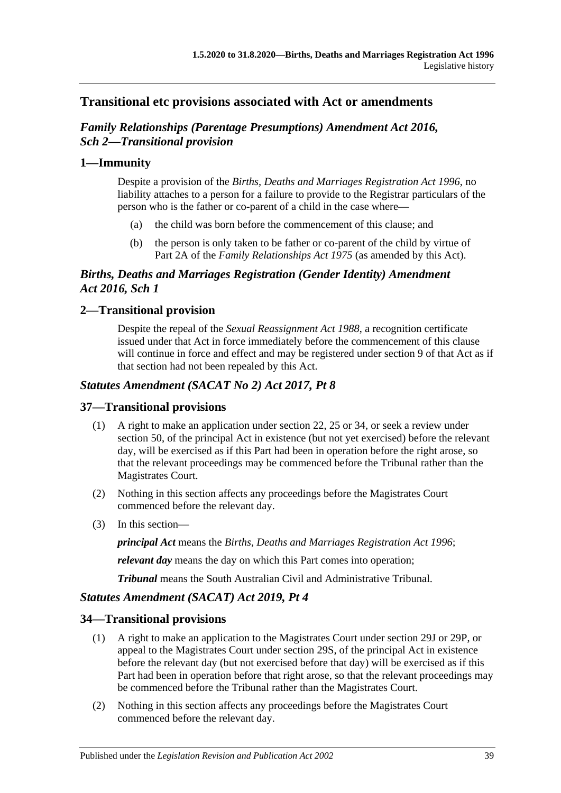## **Transitional etc provisions associated with Act or amendments**

## *Family Relationships (Parentage Presumptions) Amendment Act 2016, Sch 2—Transitional provision*

## **1—Immunity**

Despite a provision of the *[Births, Deaths and Marriages Registration Act](http://www.legislation.sa.gov.au/index.aspx?action=legref&type=act&legtitle=Births%20Deaths%20and%20Marriages%20Registration%20Act%201996) 1996*, no liability attaches to a person for a failure to provide to the Registrar particulars of the person who is the father or co-parent of a child in the case where—

- (a) the child was born before the commencement of this clause; and
- (b) the person is only taken to be father or co-parent of the child by virtue of Part 2A of the *[Family Relationships Act](http://www.legislation.sa.gov.au/index.aspx?action=legref&type=act&legtitle=Family%20Relationships%20Act%201975) 1975* (as amended by this Act).

## *Births, Deaths and Marriages Registration (Gender Identity) Amendment Act 2016, Sch 1*

## **2—Transitional provision**

Despite the repeal of the *[Sexual Reassignment Act](http://www.legislation.sa.gov.au/index.aspx?action=legref&type=act&legtitle=Sexual%20Reassignment%20Act%201988) 1988*, a recognition certificate issued under that Act in force immediately before the commencement of this clause will continue in force and effect and may be registered under section 9 of that Act as if that section had not been repealed by this Act.

## *Statutes Amendment (SACAT No 2) Act 2017, Pt 8*

## **37—Transitional provisions**

- (1) A right to make an application under section 22, 25 or 34, or seek a review under section 50, of the principal Act in existence (but not yet exercised) before the relevant day, will be exercised as if this Part had been in operation before the right arose, so that the relevant proceedings may be commenced before the Tribunal rather than the Magistrates Court.
- (2) Nothing in this section affects any proceedings before the Magistrates Court commenced before the relevant day.
- (3) In this section—

*principal Act* means the *[Births, Deaths and Marriages Registration Act](http://www.legislation.sa.gov.au/index.aspx?action=legref&type=act&legtitle=Births%20Deaths%20and%20Marriages%20Registration%20Act%201996) 1996*;

*relevant day* means the day on which this Part comes into operation;

*Tribunal* means the South Australian Civil and Administrative Tribunal.

## *Statutes Amendment (SACAT) Act 2019, Pt 4*

## **34—Transitional provisions**

- (1) A right to make an application to the Magistrates Court under section 29J or 29P, or appeal to the Magistrates Court under section 29S, of the principal Act in existence before the relevant day (but not exercised before that day) will be exercised as if this Part had been in operation before that right arose, so that the relevant proceedings may be commenced before the Tribunal rather than the Magistrates Court.
- (2) Nothing in this section affects any proceedings before the Magistrates Court commenced before the relevant day.